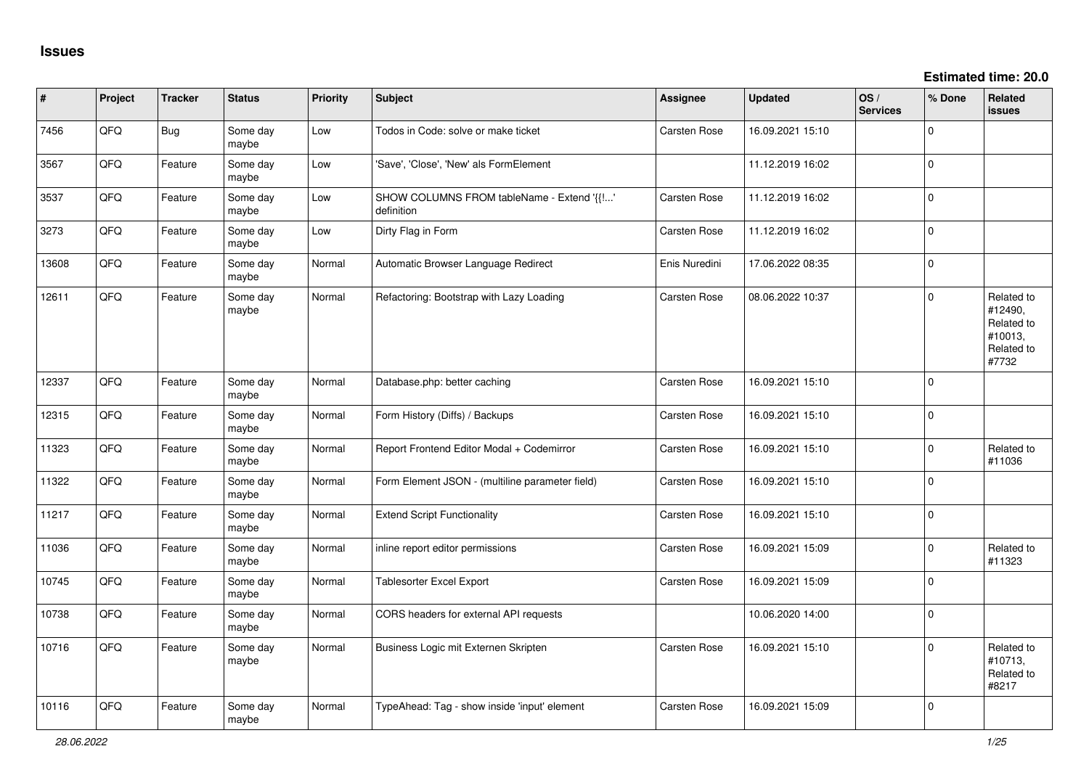| $\sharp$ | Project | <b>Tracker</b> | <b>Status</b>     | <b>Priority</b> | <b>Subject</b>                                           | <b>Assignee</b>     | <b>Updated</b>   | OS/<br><b>Services</b> | % Done      | Related<br><b>issues</b>                                              |
|----------|---------|----------------|-------------------|-----------------|----------------------------------------------------------|---------------------|------------------|------------------------|-------------|-----------------------------------------------------------------------|
| 7456     | QFQ     | Bug            | Some day<br>maybe | Low             | Todos in Code: solve or make ticket                      | Carsten Rose        | 16.09.2021 15:10 |                        | 0           |                                                                       |
| 3567     | QFQ     | Feature        | Some day<br>maybe | Low             | 'Save', 'Close', 'New' als FormElement                   |                     | 11.12.2019 16:02 |                        | 0           |                                                                       |
| 3537     | QFQ     | Feature        | Some day<br>maybe | Low             | SHOW COLUMNS FROM tableName - Extend '{{!'<br>definition | Carsten Rose        | 11.12.2019 16:02 |                        | $\Omega$    |                                                                       |
| 3273     | QFQ     | Feature        | Some day<br>maybe | Low             | Dirty Flag in Form                                       | Carsten Rose        | 11.12.2019 16:02 |                        | $\mathbf 0$ |                                                                       |
| 13608    | QFQ     | Feature        | Some day<br>maybe | Normal          | Automatic Browser Language Redirect                      | Enis Nuredini       | 17.06.2022 08:35 |                        | 0           |                                                                       |
| 12611    | QFQ     | Feature        | Some day<br>maybe | Normal          | Refactoring: Bootstrap with Lazy Loading                 | Carsten Rose        | 08.06.2022 10:37 |                        | $\Omega$    | Related to<br>#12490,<br>Related to<br>#10013,<br>Related to<br>#7732 |
| 12337    | QFQ     | Feature        | Some day<br>maybe | Normal          | Database.php: better caching                             | Carsten Rose        | 16.09.2021 15:10 |                        | 0           |                                                                       |
| 12315    | QFQ     | Feature        | Some day<br>maybe | Normal          | Form History (Diffs) / Backups                           | Carsten Rose        | 16.09.2021 15:10 |                        | $\mathbf 0$ |                                                                       |
| 11323    | QFQ     | Feature        | Some dav<br>maybe | Normal          | Report Frontend Editor Modal + Codemirror                | Carsten Rose        | 16.09.2021 15:10 |                        | $\mathbf 0$ | Related to<br>#11036                                                  |
| 11322    | QFQ     | Feature        | Some day<br>maybe | Normal          | Form Element JSON - (multiline parameter field)          | Carsten Rose        | 16.09.2021 15:10 |                        | 0           |                                                                       |
| 11217    | QFQ     | Feature        | Some day<br>maybe | Normal          | <b>Extend Script Functionality</b>                       | Carsten Rose        | 16.09.2021 15:10 |                        | $\mathbf 0$ |                                                                       |
| 11036    | QFQ     | Feature        | Some day<br>maybe | Normal          | inline report editor permissions                         | Carsten Rose        | 16.09.2021 15:09 |                        | 0           | Related to<br>#11323                                                  |
| 10745    | QFQ     | Feature        | Some day<br>maybe | Normal          | Tablesorter Excel Export                                 | <b>Carsten Rose</b> | 16.09.2021 15:09 |                        | 0           |                                                                       |
| 10738    | QFQ     | Feature        | Some day<br>maybe | Normal          | CORS headers for external API requests                   |                     | 10.06.2020 14:00 |                        | 0           |                                                                       |
| 10716    | QFQ     | Feature        | Some day<br>maybe | Normal          | Business Logic mit Externen Skripten                     | <b>Carsten Rose</b> | 16.09.2021 15:10 |                        | 0           | Related to<br>#10713.<br>Related to<br>#8217                          |
| 10116    | QFQ     | Feature        | Some day<br>maybe | Normal          | TypeAhead: Tag - show inside 'input' element             | <b>Carsten Rose</b> | 16.09.2021 15:09 |                        | $\Omega$    |                                                                       |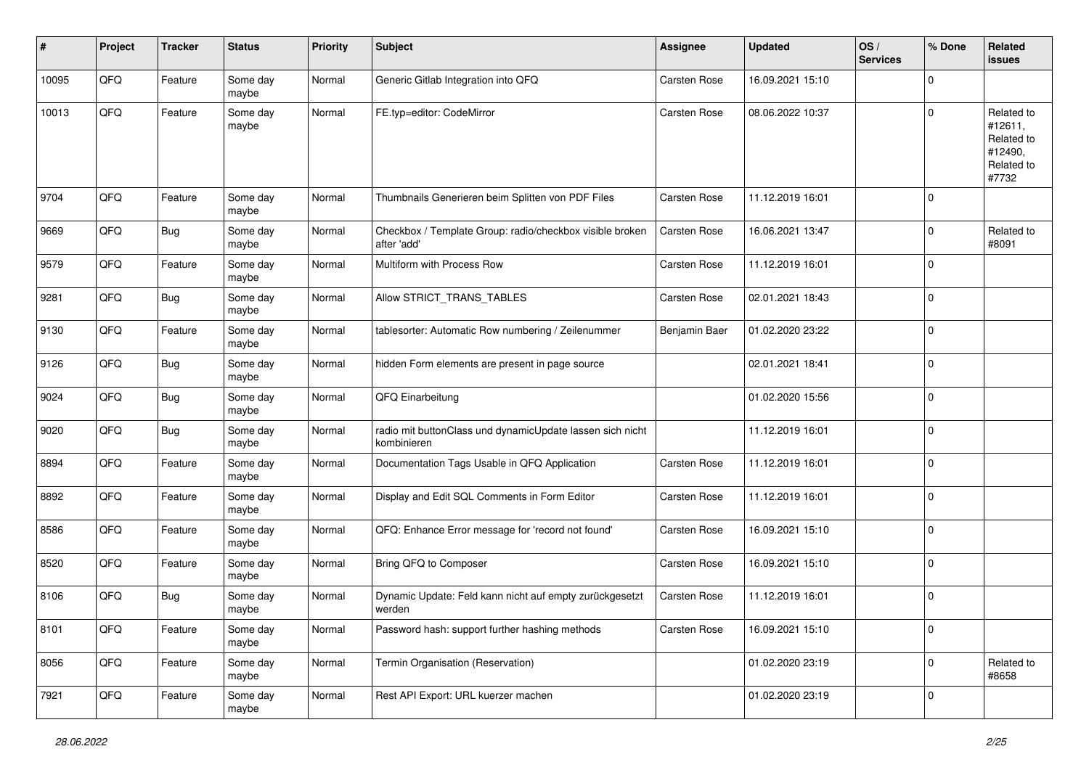| #     | Project | <b>Tracker</b> | <b>Status</b>     | Priority | <b>Subject</b>                                                           | <b>Assignee</b> | <b>Updated</b>   | OS/<br><b>Services</b> | % Done      | Related<br><b>issues</b>                                              |
|-------|---------|----------------|-------------------|----------|--------------------------------------------------------------------------|-----------------|------------------|------------------------|-------------|-----------------------------------------------------------------------|
| 10095 | QFQ     | Feature        | Some day<br>maybe | Normal   | Generic Gitlab Integration into QFQ                                      | Carsten Rose    | 16.09.2021 15:10 |                        | $\Omega$    |                                                                       |
| 10013 | QFQ     | Feature        | Some day<br>maybe | Normal   | FE.typ=editor: CodeMirror                                                | Carsten Rose    | 08.06.2022 10:37 |                        | $\mathbf 0$ | Related to<br>#12611,<br>Related to<br>#12490,<br>Related to<br>#7732 |
| 9704  | QFQ     | Feature        | Some day<br>maybe | Normal   | Thumbnails Generieren beim Splitten von PDF Files                        | Carsten Rose    | 11.12.2019 16:01 |                        | $\mathbf 0$ |                                                                       |
| 9669  | QFQ     | Bug            | Some day<br>maybe | Normal   | Checkbox / Template Group: radio/checkbox visible broken<br>after 'add'  | Carsten Rose    | 16.06.2021 13:47 |                        | $\Omega$    | Related to<br>#8091                                                   |
| 9579  | QFQ     | Feature        | Some day<br>maybe | Normal   | Multiform with Process Row                                               | Carsten Rose    | 11.12.2019 16:01 |                        | $\mathbf 0$ |                                                                       |
| 9281  | QFQ     | Bug            | Some day<br>maybe | Normal   | Allow STRICT_TRANS_TABLES                                                | Carsten Rose    | 02.01.2021 18:43 |                        | $\mathbf 0$ |                                                                       |
| 9130  | QFQ     | Feature        | Some day<br>maybe | Normal   | tablesorter: Automatic Row numbering / Zeilenummer                       | Benjamin Baer   | 01.02.2020 23:22 |                        | $\mathbf 0$ |                                                                       |
| 9126  | QFQ     | Bug            | Some day<br>maybe | Normal   | hidden Form elements are present in page source                          |                 | 02.01.2021 18:41 |                        | $\Omega$    |                                                                       |
| 9024  | QFQ     | <b>Bug</b>     | Some day<br>maybe | Normal   | QFQ Einarbeitung                                                         |                 | 01.02.2020 15:56 |                        | $\Omega$    |                                                                       |
| 9020  | QFQ     | <b>Bug</b>     | Some day<br>maybe | Normal   | radio mit buttonClass und dynamicUpdate lassen sich nicht<br>kombinieren |                 | 11.12.2019 16:01 |                        | $\mathbf 0$ |                                                                       |
| 8894  | QFQ     | Feature        | Some day<br>maybe | Normal   | Documentation Tags Usable in QFQ Application                             | Carsten Rose    | 11.12.2019 16:01 |                        | $\Omega$    |                                                                       |
| 8892  | QFQ     | Feature        | Some day<br>maybe | Normal   | Display and Edit SQL Comments in Form Editor                             | Carsten Rose    | 11.12.2019 16:01 |                        | $\mathbf 0$ |                                                                       |
| 8586  | QFQ     | Feature        | Some day<br>maybe | Normal   | QFQ: Enhance Error message for 'record not found'                        | Carsten Rose    | 16.09.2021 15:10 |                        | 0           |                                                                       |
| 8520  | QFQ     | Feature        | Some day<br>maybe | Normal   | Bring QFQ to Composer                                                    | Carsten Rose    | 16.09.2021 15:10 |                        | $\mathbf 0$ |                                                                       |
| 8106  | QFQ     | Bug            | Some day<br>maybe | Normal   | Dynamic Update: Feld kann nicht auf empty zurückgesetzt<br>werden        | Carsten Rose    | 11.12.2019 16:01 |                        | $\Omega$    |                                                                       |
| 8101  | QFQ     | Feature        | Some day<br>maybe | Normal   | Password hash: support further hashing methods                           | Carsten Rose    | 16.09.2021 15:10 |                        | 0           |                                                                       |
| 8056  | QFQ     | Feature        | Some day<br>maybe | Normal   | Termin Organisation (Reservation)                                        |                 | 01.02.2020 23:19 |                        | $\mathbf 0$ | Related to<br>#8658                                                   |
| 7921  | QFG     | Feature        | Some day<br>maybe | Normal   | Rest API Export: URL kuerzer machen                                      |                 | 01.02.2020 23:19 |                        | $\mathbf 0$ |                                                                       |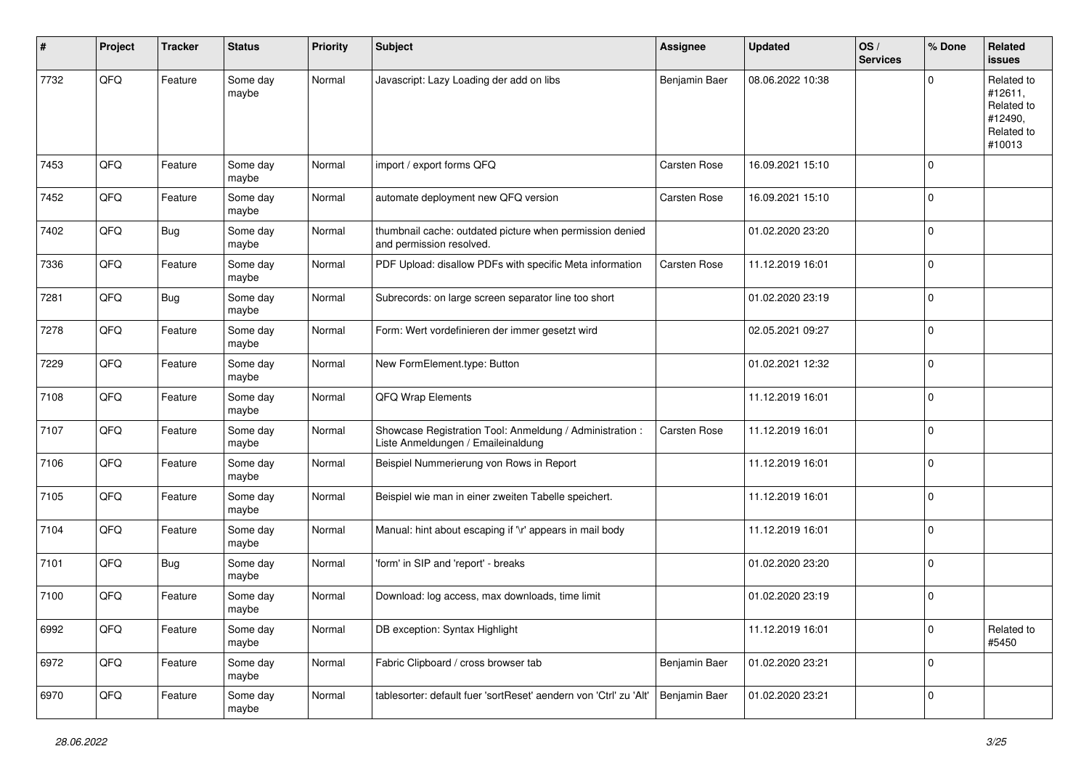| #    | Project | <b>Tracker</b> | <b>Status</b>     | <b>Priority</b> | <b>Subject</b>                                                                                 | <b>Assignee</b> | <b>Updated</b>   | OS/<br><b>Services</b> | % Done      | Related<br><b>issues</b>                                               |
|------|---------|----------------|-------------------|-----------------|------------------------------------------------------------------------------------------------|-----------------|------------------|------------------------|-------------|------------------------------------------------------------------------|
| 7732 | QFQ     | Feature        | Some day<br>maybe | Normal          | Javascript: Lazy Loading der add on libs                                                       | Benjamin Baer   | 08.06.2022 10:38 |                        | O           | Related to<br>#12611,<br>Related to<br>#12490,<br>Related to<br>#10013 |
| 7453 | QFQ     | Feature        | Some day<br>maybe | Normal          | import / export forms QFQ                                                                      | Carsten Rose    | 16.09.2021 15:10 |                        | $\Omega$    |                                                                        |
| 7452 | QFQ     | Feature        | Some day<br>maybe | Normal          | automate deployment new QFQ version                                                            | Carsten Rose    | 16.09.2021 15:10 |                        | $\mathbf 0$ |                                                                        |
| 7402 | QFQ     | <b>Bug</b>     | Some day<br>maybe | Normal          | thumbnail cache: outdated picture when permission denied<br>and permission resolved.           |                 | 01.02.2020 23:20 |                        | $\Omega$    |                                                                        |
| 7336 | QFQ     | Feature        | Some day<br>maybe | Normal          | PDF Upload: disallow PDFs with specific Meta information                                       | Carsten Rose    | 11.12.2019 16:01 |                        | $\mathbf 0$ |                                                                        |
| 7281 | QFQ     | <b>Bug</b>     | Some day<br>maybe | Normal          | Subrecords: on large screen separator line too short                                           |                 | 01.02.2020 23:19 |                        | $\mathbf 0$ |                                                                        |
| 7278 | QFQ     | Feature        | Some day<br>maybe | Normal          | Form: Wert vordefinieren der immer gesetzt wird                                                |                 | 02.05.2021 09:27 |                        | $\mathbf 0$ |                                                                        |
| 7229 | QFQ     | Feature        | Some day<br>maybe | Normal          | New FormElement.type: Button                                                                   |                 | 01.02.2021 12:32 |                        | $\Omega$    |                                                                        |
| 7108 | QFQ     | Feature        | Some day<br>maybe | Normal          | QFQ Wrap Elements                                                                              |                 | 11.12.2019 16:01 |                        | $\Omega$    |                                                                        |
| 7107 | QFQ     | Feature        | Some day<br>maybe | Normal          | Showcase Registration Tool: Anmeldung / Administration :<br>Liste Anmeldungen / Emaileinaldung | Carsten Rose    | 11.12.2019 16:01 |                        | $\Omega$    |                                                                        |
| 7106 | QFQ     | Feature        | Some day<br>maybe | Normal          | Beispiel Nummerierung von Rows in Report                                                       |                 | 11.12.2019 16:01 |                        | $\Omega$    |                                                                        |
| 7105 | QFQ     | Feature        | Some day<br>maybe | Normal          | Beispiel wie man in einer zweiten Tabelle speichert.                                           |                 | 11.12.2019 16:01 |                        | $\mathbf 0$ |                                                                        |
| 7104 | QFQ     | Feature        | Some day<br>maybe | Normal          | Manual: hint about escaping if '\r' appears in mail body                                       |                 | 11.12.2019 16:01 |                        | $\mathbf 0$ |                                                                        |
| 7101 | QFQ     | <b>Bug</b>     | Some day<br>maybe | Normal          | 'form' in SIP and 'report' - breaks                                                            |                 | 01.02.2020 23:20 |                        | $\mathbf 0$ |                                                                        |
| 7100 | QFQ     | Feature        | Some day<br>maybe | Normal          | Download: log access, max downloads, time limit                                                |                 | 01.02.2020 23:19 |                        | $\Omega$    |                                                                        |
| 6992 | QFG     | Feature        | Some day<br>maybe | Normal          | DB exception: Syntax Highlight                                                                 |                 | 11.12.2019 16:01 |                        | 0           | Related to<br>#5450                                                    |
| 6972 | QFG     | Feature        | Some day<br>maybe | Normal          | Fabric Clipboard / cross browser tab                                                           | Benjamin Baer   | 01.02.2020 23:21 |                        | $\mathbf 0$ |                                                                        |
| 6970 | QFQ     | Feature        | Some day<br>maybe | Normal          | tablesorter: default fuer 'sortReset' aendern von 'Ctrl' zu 'Alt'                              | Benjamin Baer   | 01.02.2020 23:21 |                        | $\mathbf 0$ |                                                                        |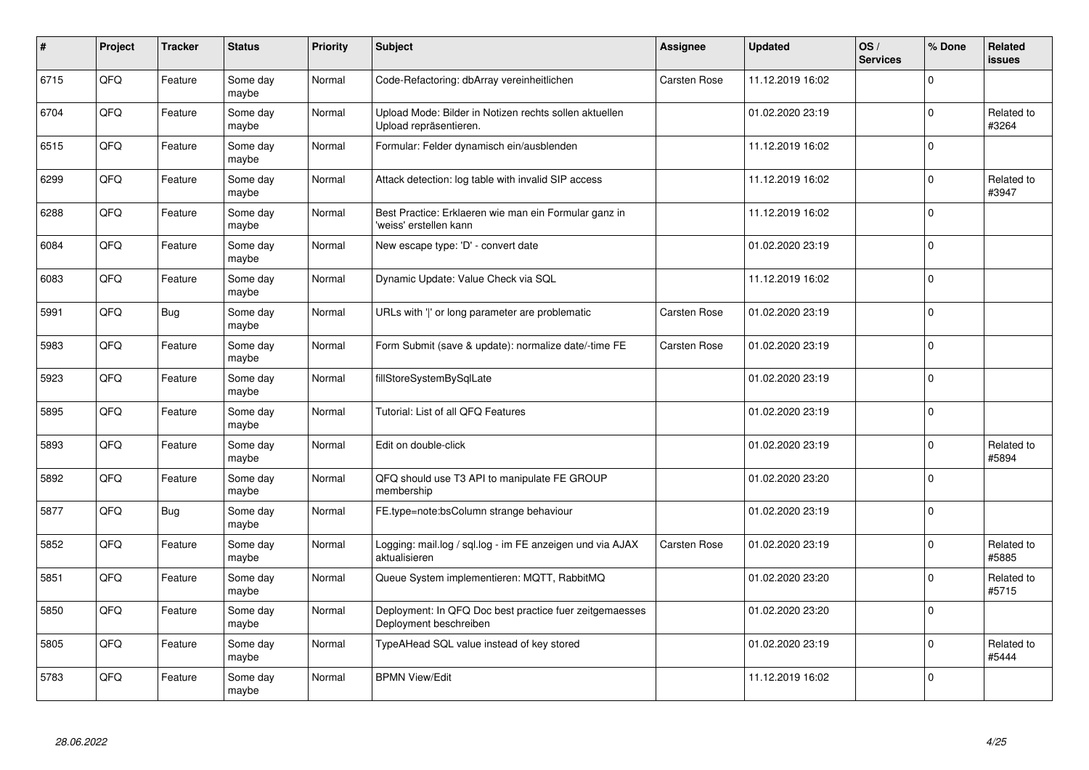| $\pmb{\#}$ | Project | <b>Tracker</b> | <b>Status</b>     | <b>Priority</b> | <b>Subject</b>                                                                    | <b>Assignee</b>     | <b>Updated</b>   | OS/<br><b>Services</b> | % Done      | Related<br>issues   |
|------------|---------|----------------|-------------------|-----------------|-----------------------------------------------------------------------------------|---------------------|------------------|------------------------|-------------|---------------------|
| 6715       | QFQ     | Feature        | Some day<br>maybe | Normal          | Code-Refactoring: dbArray vereinheitlichen                                        | <b>Carsten Rose</b> | 11.12.2019 16:02 |                        | $\Omega$    |                     |
| 6704       | QFQ     | Feature        | Some day<br>maybe | Normal          | Upload Mode: Bilder in Notizen rechts sollen aktuellen<br>Upload repräsentieren.  |                     | 01.02.2020 23:19 |                        | $\Omega$    | Related to<br>#3264 |
| 6515       | QFQ     | Feature        | Some day<br>maybe | Normal          | Formular: Felder dynamisch ein/ausblenden                                         |                     | 11.12.2019 16:02 |                        | $\mathbf 0$ |                     |
| 6299       | QFQ     | Feature        | Some day<br>maybe | Normal          | Attack detection: log table with invalid SIP access                               |                     | 11.12.2019 16:02 |                        | $\Omega$    | Related to<br>#3947 |
| 6288       | QFQ     | Feature        | Some day<br>maybe | Normal          | Best Practice: Erklaeren wie man ein Formular ganz in<br>'weiss' erstellen kann   |                     | 11.12.2019 16:02 |                        | $\Omega$    |                     |
| 6084       | QFQ     | Feature        | Some day<br>maybe | Normal          | New escape type: 'D' - convert date                                               |                     | 01.02.2020 23:19 |                        | $\mathbf 0$ |                     |
| 6083       | QFQ     | Feature        | Some day<br>maybe | Normal          | Dynamic Update: Value Check via SQL                                               |                     | 11.12.2019 16:02 |                        | $\Omega$    |                     |
| 5991       | QFQ     | <b>Bug</b>     | Some day<br>maybe | Normal          | URLs with ' ' or long parameter are problematic                                   | Carsten Rose        | 01.02.2020 23:19 |                        | $\Omega$    |                     |
| 5983       | QFQ     | Feature        | Some day<br>maybe | Normal          | Form Submit (save & update): normalize date/-time FE                              | Carsten Rose        | 01.02.2020 23:19 |                        | $\Omega$    |                     |
| 5923       | QFQ     | Feature        | Some day<br>maybe | Normal          | fillStoreSystemBySqlLate                                                          |                     | 01.02.2020 23:19 |                        | $\mathbf 0$ |                     |
| 5895       | QFQ     | Feature        | Some day<br>maybe | Normal          | Tutorial: List of all QFQ Features                                                |                     | 01.02.2020 23:19 |                        | $\Omega$    |                     |
| 5893       | QFQ     | Feature        | Some day<br>maybe | Normal          | Edit on double-click                                                              |                     | 01.02.2020 23:19 |                        | $\Omega$    | Related to<br>#5894 |
| 5892       | QFQ     | Feature        | Some day<br>maybe | Normal          | QFQ should use T3 API to manipulate FE GROUP<br>membership                        |                     | 01.02.2020 23:20 |                        | $\mathbf 0$ |                     |
| 5877       | QFQ     | <b>Bug</b>     | Some day<br>maybe | Normal          | FE.type=note:bsColumn strange behaviour                                           |                     | 01.02.2020 23:19 |                        | $\mathbf 0$ |                     |
| 5852       | QFQ     | Feature        | Some day<br>maybe | Normal          | Logging: mail.log / sql.log - im FE anzeigen und via AJAX<br>aktualisieren        | Carsten Rose        | 01.02.2020 23:19 |                        | $\Omega$    | Related to<br>#5885 |
| 5851       | QFQ     | Feature        | Some day<br>maybe | Normal          | Queue System implementieren: MQTT, RabbitMQ                                       |                     | 01.02.2020 23:20 |                        | $\Omega$    | Related to<br>#5715 |
| 5850       | QFQ     | Feature        | Some day<br>maybe | Normal          | Deployment: In QFQ Doc best practice fuer zeitgemaesses<br>Deployment beschreiben |                     | 01.02.2020 23:20 |                        | $\mathbf 0$ |                     |
| 5805       | QFQ     | Feature        | Some day<br>maybe | Normal          | TypeAHead SQL value instead of key stored                                         |                     | 01.02.2020 23:19 |                        | $\Omega$    | Related to<br>#5444 |
| 5783       | QFQ     | Feature        | Some day<br>maybe | Normal          | <b>BPMN View/Edit</b>                                                             |                     | 11.12.2019 16:02 |                        | $\Omega$    |                     |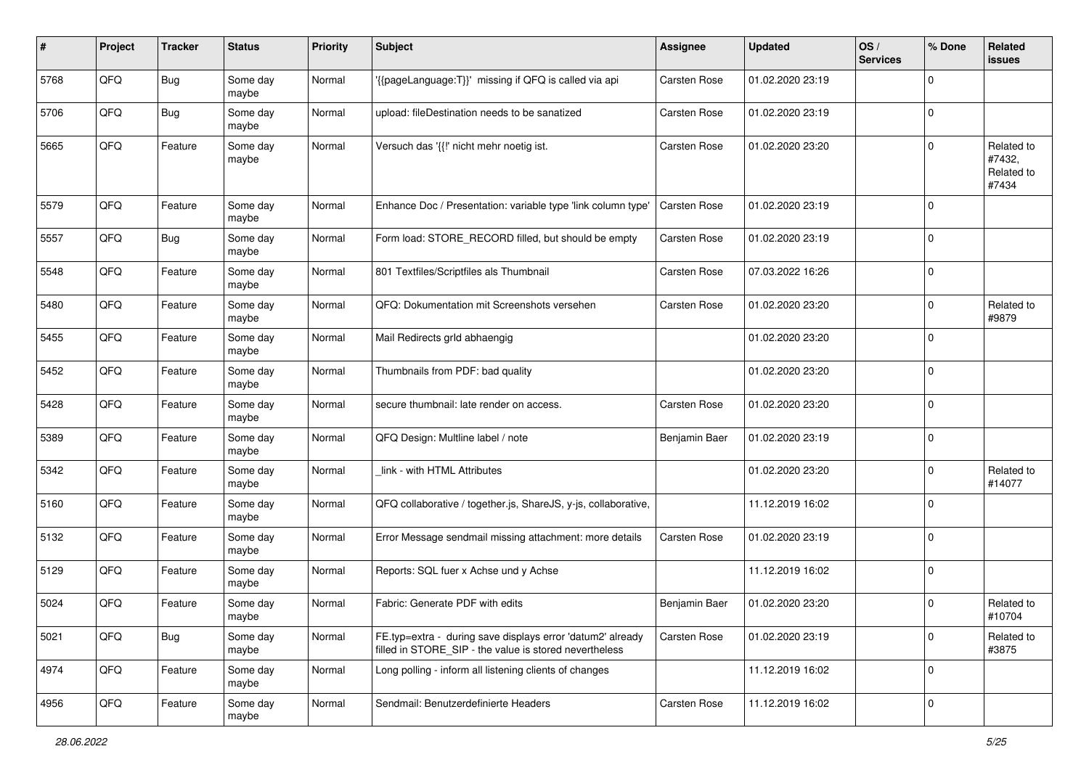| #    | Project | <b>Tracker</b> | <b>Status</b>     | <b>Priority</b> | <b>Subject</b>                                                                                                       | Assignee            | <b>Updated</b>   | OS/<br><b>Services</b> | % Done       | Related<br>issues                           |
|------|---------|----------------|-------------------|-----------------|----------------------------------------------------------------------------------------------------------------------|---------------------|------------------|------------------------|--------------|---------------------------------------------|
| 5768 | QFQ     | Bug            | Some day<br>maybe | Normal          | {{pageLanguage:T}}' missing if QFQ is called via api                                                                 | Carsten Rose        | 01.02.2020 23:19 |                        | $\Omega$     |                                             |
| 5706 | QFQ     | <b>Bug</b>     | Some day<br>maybe | Normal          | upload: fileDestination needs to be sanatized                                                                        | Carsten Rose        | 01.02.2020 23:19 |                        | $\mathbf 0$  |                                             |
| 5665 | QFQ     | Feature        | Some day<br>maybe | Normal          | Versuch das '{{!' nicht mehr noetig ist.                                                                             | Carsten Rose        | 01.02.2020 23:20 |                        | 0            | Related to<br>#7432,<br>Related to<br>#7434 |
| 5579 | QFQ     | Feature        | Some day<br>maybe | Normal          | Enhance Doc / Presentation: variable type 'link column type'                                                         | <b>Carsten Rose</b> | 01.02.2020 23:19 |                        | $\mathbf 0$  |                                             |
| 5557 | QFQ     | Bug            | Some day<br>maybe | Normal          | Form load: STORE_RECORD filled, but should be empty                                                                  | Carsten Rose        | 01.02.2020 23:19 |                        | 0            |                                             |
| 5548 | QFQ     | Feature        | Some day<br>maybe | Normal          | 801 Textfiles/Scriptfiles als Thumbnail                                                                              | Carsten Rose        | 07.03.2022 16:26 |                        | $\Omega$     |                                             |
| 5480 | QFQ     | Feature        | Some day<br>maybe | Normal          | QFQ: Dokumentation mit Screenshots versehen                                                                          | Carsten Rose        | 01.02.2020 23:20 |                        | $\mathbf 0$  | Related to<br>#9879                         |
| 5455 | QFQ     | Feature        | Some day<br>maybe | Normal          | Mail Redirects grld abhaengig                                                                                        |                     | 01.02.2020 23:20 |                        | $\Omega$     |                                             |
| 5452 | QFQ     | Feature        | Some day<br>maybe | Normal          | Thumbnails from PDF: bad quality                                                                                     |                     | 01.02.2020 23:20 |                        | 0            |                                             |
| 5428 | QFQ     | Feature        | Some day<br>maybe | Normal          | secure thumbnail: late render on access.                                                                             | Carsten Rose        | 01.02.2020 23:20 |                        | $\mathbf 0$  |                                             |
| 5389 | QFQ     | Feature        | Some day<br>maybe | Normal          | QFQ Design: Multline label / note                                                                                    | Benjamin Baer       | 01.02.2020 23:19 |                        | $\mathbf 0$  |                                             |
| 5342 | QFQ     | Feature        | Some day<br>maybe | Normal          | link - with HTML Attributes                                                                                          |                     | 01.02.2020 23:20 |                        | $\Omega$     | Related to<br>#14077                        |
| 5160 | QFQ     | Feature        | Some day<br>maybe | Normal          | QFQ collaborative / together.js, ShareJS, y-js, collaborative,                                                       |                     | 11.12.2019 16:02 |                        | $\Omega$     |                                             |
| 5132 | QFQ     | Feature        | Some day<br>maybe | Normal          | Error Message sendmail missing attachment: more details                                                              | Carsten Rose        | 01.02.2020 23:19 |                        | $\Omega$     |                                             |
| 5129 | QFQ     | Feature        | Some day<br>maybe | Normal          | Reports: SQL fuer x Achse und y Achse                                                                                |                     | 11.12.2019 16:02 |                        | $\mathbf 0$  |                                             |
| 5024 | QFQ     | Feature        | Some day<br>maybe | Normal          | Fabric: Generate PDF with edits                                                                                      | Benjamin Baer       | 01.02.2020 23:20 |                        | $\Omega$     | Related to<br>#10704                        |
| 5021 | QFQ     | Bug            | Some day<br>maybe | Normal          | FE.typ=extra - during save displays error 'datum2' already<br>filled in STORE_SIP - the value is stored nevertheless | <b>Carsten Rose</b> | 01.02.2020 23:19 |                        | $\mathbf{0}$ | Related to<br>#3875                         |
| 4974 | QFQ     | Feature        | Some day<br>maybe | Normal          | Long polling - inform all listening clients of changes                                                               |                     | 11.12.2019 16:02 |                        | $\mathbf 0$  |                                             |
| 4956 | QFQ     | Feature        | Some day<br>maybe | Normal          | Sendmail: Benutzerdefinierte Headers                                                                                 | Carsten Rose        | 11.12.2019 16:02 |                        | $\mathbf 0$  |                                             |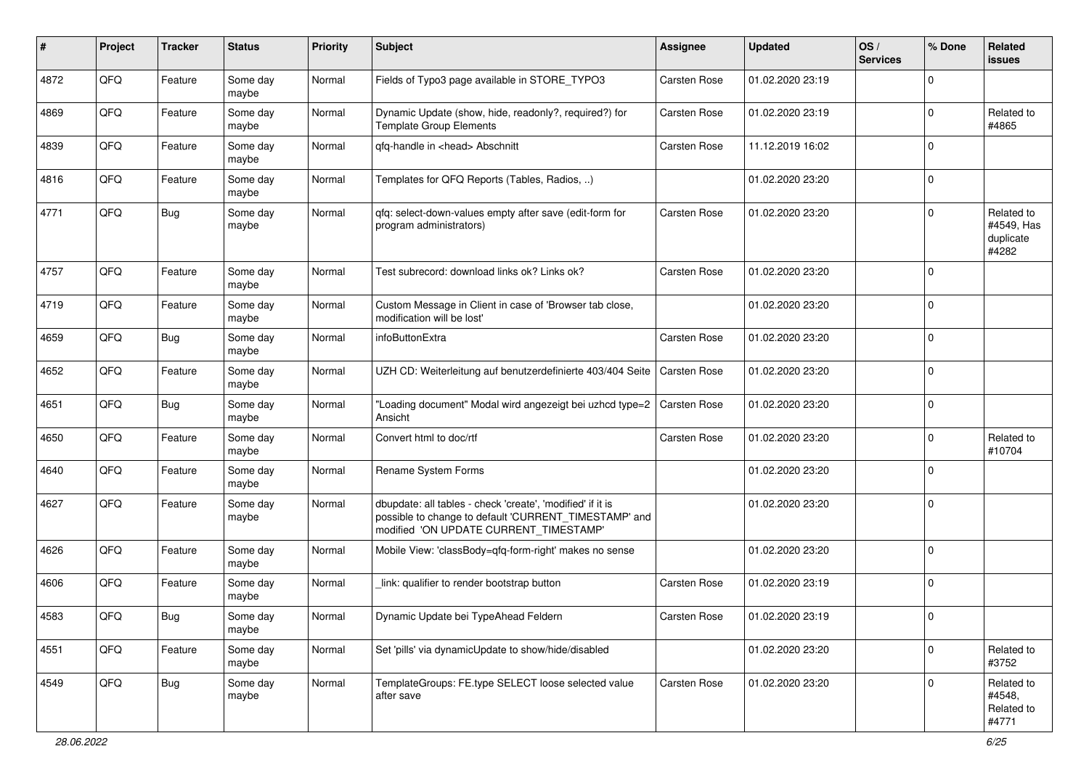| ∦    | Project | <b>Tracker</b> | <b>Status</b>     | <b>Priority</b> | <b>Subject</b>                                                                                                                                                | <b>Assignee</b> | <b>Updated</b>   | OS/<br><b>Services</b> | % Done      | Related<br>issues                              |
|------|---------|----------------|-------------------|-----------------|---------------------------------------------------------------------------------------------------------------------------------------------------------------|-----------------|------------------|------------------------|-------------|------------------------------------------------|
| 4872 | QFQ     | Feature        | Some day<br>maybe | Normal          | Fields of Typo3 page available in STORE_TYPO3                                                                                                                 | Carsten Rose    | 01.02.2020 23:19 |                        | $\Omega$    |                                                |
| 4869 | QFQ     | Feature        | Some day<br>maybe | Normal          | Dynamic Update (show, hide, readonly?, required?) for<br><b>Template Group Elements</b>                                                                       | Carsten Rose    | 01.02.2020 23:19 |                        | $\Omega$    | Related to<br>#4865                            |
| 4839 | QFQ     | Feature        | Some day<br>maybe | Normal          | qfq-handle in <head> Abschnitt</head>                                                                                                                         | Carsten Rose    | 11.12.2019 16:02 |                        | $\Omega$    |                                                |
| 4816 | QFQ     | Feature        | Some day<br>maybe | Normal          | Templates for QFQ Reports (Tables, Radios, )                                                                                                                  |                 | 01.02.2020 23:20 |                        | $\Omega$    |                                                |
| 4771 | QFQ     | <b>Bug</b>     | Some day<br>maybe | Normal          | qfq: select-down-values empty after save (edit-form for<br>program administrators)                                                                            | Carsten Rose    | 01.02.2020 23:20 |                        | $\Omega$    | Related to<br>#4549, Has<br>duplicate<br>#4282 |
| 4757 | QFQ     | Feature        | Some day<br>maybe | Normal          | Test subrecord: download links ok? Links ok?                                                                                                                  | Carsten Rose    | 01.02.2020 23:20 |                        | $\Omega$    |                                                |
| 4719 | QFQ     | Feature        | Some day<br>maybe | Normal          | Custom Message in Client in case of 'Browser tab close,<br>modification will be lost'                                                                         |                 | 01.02.2020 23:20 |                        | $\Omega$    |                                                |
| 4659 | QFQ     | Bug            | Some day<br>maybe | Normal          | infoButtonExtra                                                                                                                                               | Carsten Rose    | 01.02.2020 23:20 |                        | $\Omega$    |                                                |
| 4652 | QFQ     | Feature        | Some day<br>maybe | Normal          | UZH CD: Weiterleitung auf benutzerdefinierte 403/404 Seite                                                                                                    | Carsten Rose    | 01.02.2020 23:20 |                        | $\Omega$    |                                                |
| 4651 | QFQ     | Bug            | Some day<br>maybe | Normal          | "Loading document" Modal wird angezeigt bei uzhcd type=2<br>Ansicht                                                                                           | Carsten Rose    | 01.02.2020 23:20 |                        | $\Omega$    |                                                |
| 4650 | QFQ     | Feature        | Some day<br>maybe | Normal          | Convert html to doc/rtf                                                                                                                                       | Carsten Rose    | 01.02.2020 23:20 |                        | 0           | Related to<br>#10704                           |
| 4640 | QFQ     | Feature        | Some day<br>maybe | Normal          | Rename System Forms                                                                                                                                           |                 | 01.02.2020 23:20 |                        | $\Omega$    |                                                |
| 4627 | QFQ     | Feature        | Some day<br>maybe | Normal          | dbupdate: all tables - check 'create', 'modified' if it is<br>possible to change to default 'CURRENT_TIMESTAMP' and<br>modified 'ON UPDATE CURRENT_TIMESTAMP' |                 | 01.02.2020 23:20 |                        | $\Omega$    |                                                |
| 4626 | QFQ     | Feature        | Some day<br>maybe | Normal          | Mobile View: 'classBody=qfq-form-right' makes no sense                                                                                                        |                 | 01.02.2020 23:20 |                        | $\Omega$    |                                                |
| 4606 | QFQ     | Feature        | Some day<br>maybe | Normal          | link: qualifier to render bootstrap button                                                                                                                    | Carsten Rose    | 01.02.2020 23:19 |                        | $\Omega$    |                                                |
| 4583 | QFQ     | <b>Bug</b>     | Some day<br>maybe | Normal          | Dynamic Update bei TypeAhead Feldern                                                                                                                          | Carsten Rose    | 01.02.2020 23:19 |                        |             |                                                |
| 4551 | QFQ     | Feature        | Some day<br>maybe | Normal          | Set 'pills' via dynamicUpdate to show/hide/disabled                                                                                                           |                 | 01.02.2020 23:20 |                        | $\mathbf 0$ | Related to<br>#3752                            |
| 4549 | QFQ     | Bug            | Some day<br>maybe | Normal          | TemplateGroups: FE.type SELECT loose selected value<br>after save                                                                                             | Carsten Rose    | 01.02.2020 23:20 |                        | $\mathbf 0$ | Related to<br>#4548,<br>Related to<br>#4771    |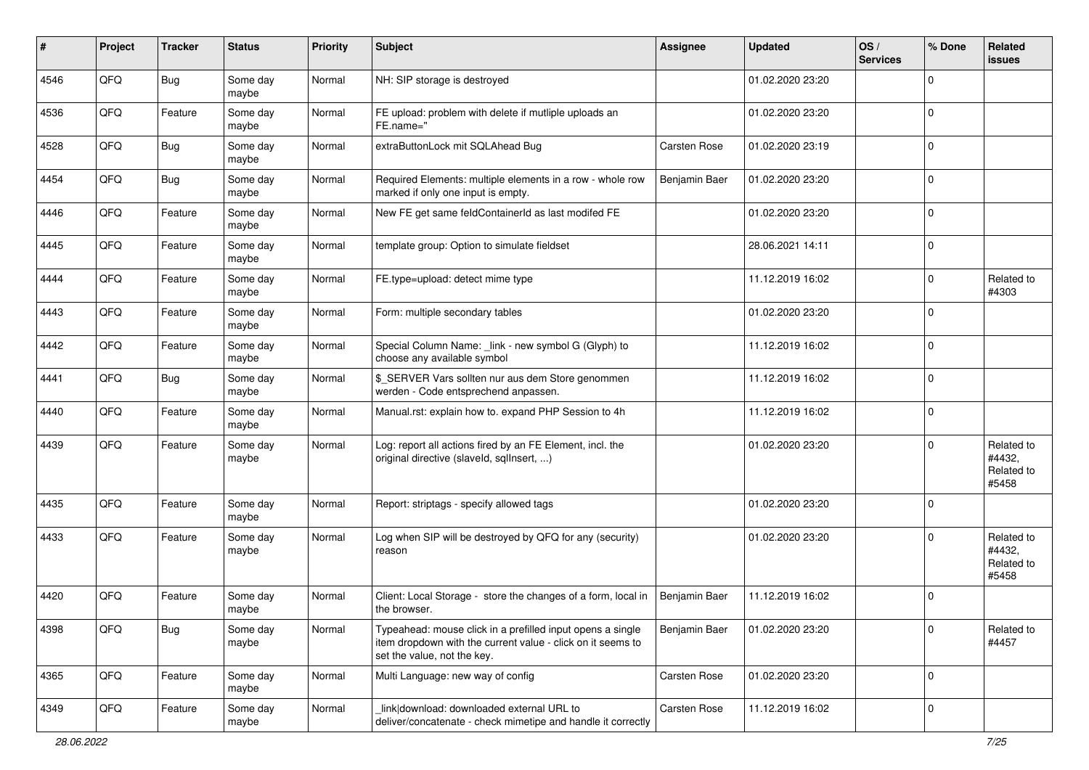| #    | Project | <b>Tracker</b> | <b>Status</b>     | <b>Priority</b> | Subject                                                                                                                                                  | Assignee      | <b>Updated</b>   | OS/<br><b>Services</b> | % Done      | Related<br>issues                           |
|------|---------|----------------|-------------------|-----------------|----------------------------------------------------------------------------------------------------------------------------------------------------------|---------------|------------------|------------------------|-------------|---------------------------------------------|
| 4546 | QFQ     | <b>Bug</b>     | Some day<br>maybe | Normal          | NH: SIP storage is destroyed                                                                                                                             |               | 01.02.2020 23:20 |                        | 0           |                                             |
| 4536 | QFQ     | Feature        | Some day<br>maybe | Normal          | FE upload: problem with delete if mutliple uploads an<br>FE.name="                                                                                       |               | 01.02.2020 23:20 |                        | $\mathbf 0$ |                                             |
| 4528 | QFQ     | Bug            | Some day<br>maybe | Normal          | extraButtonLock mit SQLAhead Bug                                                                                                                         | Carsten Rose  | 01.02.2020 23:19 |                        | 0           |                                             |
| 4454 | QFQ     | <b>Bug</b>     | Some day<br>maybe | Normal          | Required Elements: multiple elements in a row - whole row<br>marked if only one input is empty.                                                          | Benjamin Baer | 01.02.2020 23:20 |                        | $\mathbf 0$ |                                             |
| 4446 | QFQ     | Feature        | Some day<br>maybe | Normal          | New FE get same feldContainerId as last modifed FE                                                                                                       |               | 01.02.2020 23:20 |                        | $\mathbf 0$ |                                             |
| 4445 | QFQ     | Feature        | Some day<br>maybe | Normal          | template group: Option to simulate fieldset                                                                                                              |               | 28.06.2021 14:11 |                        | $\Omega$    |                                             |
| 4444 | QFQ     | Feature        | Some day<br>maybe | Normal          | FE.type=upload: detect mime type                                                                                                                         |               | 11.12.2019 16:02 |                        | 0           | Related to<br>#4303                         |
| 4443 | QFQ     | Feature        | Some day<br>maybe | Normal          | Form: multiple secondary tables                                                                                                                          |               | 01.02.2020 23:20 |                        | $\mathbf 0$ |                                             |
| 4442 | QFQ     | Feature        | Some day<br>maybe | Normal          | Special Column Name: _link - new symbol G (Glyph) to<br>choose any available symbol                                                                      |               | 11.12.2019 16:02 |                        | $\mathbf 0$ |                                             |
| 4441 | QFQ     | <b>Bug</b>     | Some day<br>maybe | Normal          | \$_SERVER Vars sollten nur aus dem Store genommen<br>werden - Code entsprechend anpassen.                                                                |               | 11.12.2019 16:02 |                        | 0           |                                             |
| 4440 | QFQ     | Feature        | Some day<br>maybe | Normal          | Manual.rst: explain how to. expand PHP Session to 4h                                                                                                     |               | 11.12.2019 16:02 |                        | $\Omega$    |                                             |
| 4439 | QFQ     | Feature        | Some day<br>maybe | Normal          | Log: report all actions fired by an FE Element, incl. the<br>original directive (slaveld, sqlInsert, )                                                   |               | 01.02.2020 23:20 |                        | $\Omega$    | Related to<br>#4432,<br>Related to<br>#5458 |
| 4435 | QFQ     | Feature        | Some day<br>maybe | Normal          | Report: striptags - specify allowed tags                                                                                                                 |               | 01.02.2020 23:20 |                        | $\Omega$    |                                             |
| 4433 | QFQ     | Feature        | Some day<br>maybe | Normal          | Log when SIP will be destroyed by QFQ for any (security)<br>reason                                                                                       |               | 01.02.2020 23:20 |                        | $\Omega$    | Related to<br>#4432,<br>Related to<br>#5458 |
| 4420 | QFQ     | Feature        | Some day<br>maybe | Normal          | Client: Local Storage - store the changes of a form, local in<br>the browser.                                                                            | Benjamin Baer | 11.12.2019 16:02 |                        | $\Omega$    |                                             |
| 4398 | QFQ     | Bug            | Some day<br>maybe | Normal          | Typeahead: mouse click in a prefilled input opens a single<br>item dropdown with the current value - click on it seems to<br>set the value, not the key. | Benjamin Baer | 01.02.2020 23:20 |                        | $\mathbf 0$ | Related to<br>#4457                         |
| 4365 | QFQ     | Feature        | Some day<br>maybe | Normal          | Multi Language: new way of config                                                                                                                        | Carsten Rose  | 01.02.2020 23:20 |                        | $\mathbf 0$ |                                             |
| 4349 | QFQ     | Feature        | Some day<br>maybe | Normal          | link download: downloaded external URL to<br>deliver/concatenate - check mimetipe and handle it correctly                                                | Carsten Rose  | 11.12.2019 16:02 |                        | 0           |                                             |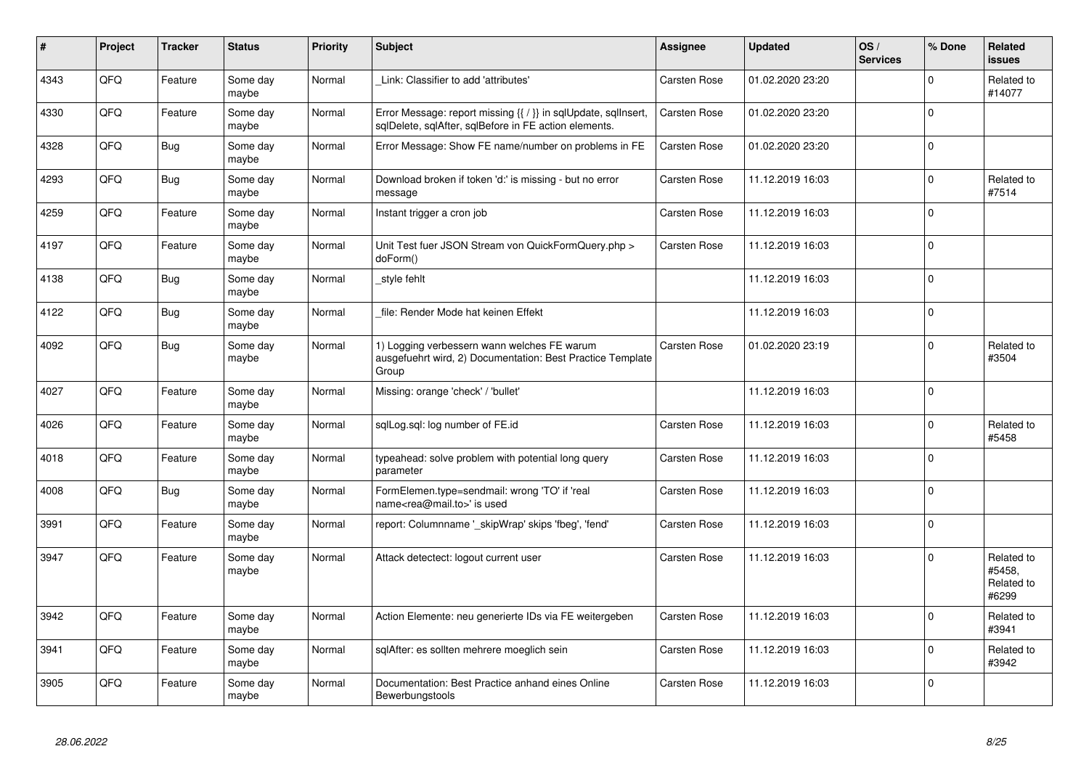| #    | Project | <b>Tracker</b> | <b>Status</b>     | <b>Priority</b> | <b>Subject</b>                                                                                                          | Assignee            | <b>Updated</b>   | OS/<br><b>Services</b> | % Done      | Related<br><b>issues</b>                    |
|------|---------|----------------|-------------------|-----------------|-------------------------------------------------------------------------------------------------------------------------|---------------------|------------------|------------------------|-------------|---------------------------------------------|
| 4343 | QFQ     | Feature        | Some day<br>maybe | Normal          | Link: Classifier to add 'attributes'                                                                                    | Carsten Rose        | 01.02.2020 23:20 |                        | $\Omega$    | Related to<br>#14077                        |
| 4330 | QFQ     | Feature        | Some day<br>maybe | Normal          | Error Message: report missing {{ / }} in sqlUpdate, sqlInsert,<br>sqlDelete, sqlAfter, sqlBefore in FE action elements. | Carsten Rose        | 01.02.2020 23:20 |                        | $\Omega$    |                                             |
| 4328 | QFQ     | Bug            | Some day<br>maybe | Normal          | Error Message: Show FE name/number on problems in FE                                                                    | Carsten Rose        | 01.02.2020 23:20 |                        | $\Omega$    |                                             |
| 4293 | QFQ     | Bug            | Some day<br>maybe | Normal          | Download broken if token 'd:' is missing - but no error<br>message                                                      | Carsten Rose        | 11.12.2019 16:03 |                        | $\Omega$    | Related to<br>#7514                         |
| 4259 | QFQ     | Feature        | Some day<br>maybe | Normal          | Instant trigger a cron job                                                                                              | Carsten Rose        | 11.12.2019 16:03 |                        | $\Omega$    |                                             |
| 4197 | QFQ     | Feature        | Some day<br>maybe | Normal          | Unit Test fuer JSON Stream von QuickFormQuery.php ><br>doForm()                                                         | <b>Carsten Rose</b> | 11.12.2019 16:03 |                        | $\Omega$    |                                             |
| 4138 | QFQ     | Bug            | Some day<br>maybe | Normal          | style fehlt                                                                                                             |                     | 11.12.2019 16:03 |                        | $\Omega$    |                                             |
| 4122 | QFQ     | Bug            | Some day<br>maybe | Normal          | file: Render Mode hat keinen Effekt                                                                                     |                     | 11.12.2019 16:03 |                        | $\Omega$    |                                             |
| 4092 | QFQ     | Bug            | Some day<br>maybe | Normal          | 1) Logging verbessern wann welches FE warum<br>ausgefuehrt wird, 2) Documentation: Best Practice Template<br>Group      | <b>Carsten Rose</b> | 01.02.2020 23:19 |                        | $\Omega$    | Related to<br>#3504                         |
| 4027 | QFQ     | Feature        | Some day<br>maybe | Normal          | Missing: orange 'check' / 'bullet'                                                                                      |                     | 11.12.2019 16:03 |                        | $\Omega$    |                                             |
| 4026 | QFQ     | Feature        | Some day<br>maybe | Normal          | sglLog.sgl: log number of FE.id                                                                                         | <b>Carsten Rose</b> | 11.12.2019 16:03 |                        | $\Omega$    | Related to<br>#5458                         |
| 4018 | QFQ     | Feature        | Some day<br>maybe | Normal          | typeahead: solve problem with potential long query<br>parameter                                                         | Carsten Rose        | 11.12.2019 16:03 |                        | $\Omega$    |                                             |
| 4008 | QFQ     | Bug            | Some day<br>maybe | Normal          | FormElemen.type=sendmail: wrong 'TO' if 'real<br>name <rea@mail.to>' is used</rea@mail.to>                              | Carsten Rose        | 11.12.2019 16:03 |                        | $\Omega$    |                                             |
| 3991 | QFQ     | Feature        | Some day<br>maybe | Normal          | report: Columnname '_skipWrap' skips 'fbeg', 'fend'                                                                     | Carsten Rose        | 11.12.2019 16:03 |                        | $\mathbf 0$ |                                             |
| 3947 | QFQ     | Feature        | Some day<br>maybe | Normal          | Attack detectect: logout current user                                                                                   | Carsten Rose        | 11.12.2019 16:03 |                        | $\Omega$    | Related to<br>#5458,<br>Related to<br>#6299 |
| 3942 | QFQ     | Feature        | Some day<br>maybe | Normal          | Action Elemente: neu generierte IDs via FE weitergeben                                                                  | Carsten Rose        | 11.12.2019 16:03 |                        | $\Omega$    | Related to<br>#3941                         |
| 3941 | QFQ     | Feature        | Some day<br>maybe | Normal          | sglAfter: es sollten mehrere moeglich sein                                                                              | Carsten Rose        | 11.12.2019 16:03 |                        | $\mathbf 0$ | Related to<br>#3942                         |
| 3905 | QFQ     | Feature        | Some day<br>maybe | Normal          | Documentation: Best Practice anhand eines Online<br>Bewerbungstools                                                     | Carsten Rose        | 11.12.2019 16:03 |                        | $\Omega$    |                                             |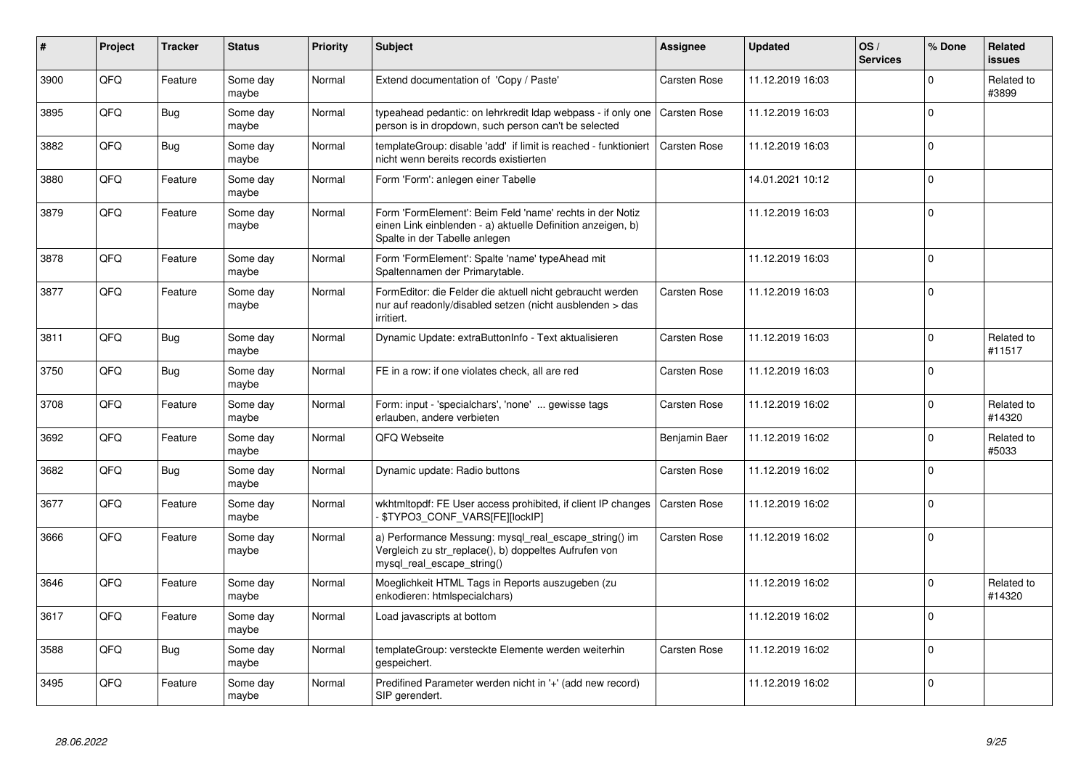| $\vert$ # | Project | <b>Tracker</b> | <b>Status</b>     | <b>Priority</b> | <b>Subject</b>                                                                                                                                           | Assignee            | <b>Updated</b>   | OS/<br><b>Services</b> | % Done      | Related<br><b>issues</b> |
|-----------|---------|----------------|-------------------|-----------------|----------------------------------------------------------------------------------------------------------------------------------------------------------|---------------------|------------------|------------------------|-------------|--------------------------|
| 3900      | QFQ     | Feature        | Some day<br>maybe | Normal          | Extend documentation of 'Copy / Paste'                                                                                                                   | <b>Carsten Rose</b> | 11.12.2019 16:03 |                        | $\Omega$    | Related to<br>#3899      |
| 3895      | QFQ     | Bug            | Some day<br>maybe | Normal          | typeahead pedantic: on lehrkredit Idap webpass - if only one<br>person is in dropdown, such person can't be selected                                     | l Carsten Rose      | 11.12.2019 16:03 |                        | $\Omega$    |                          |
| 3882      | QFQ     | <b>Bug</b>     | Some day<br>maybe | Normal          | templateGroup: disable 'add' if limit is reached - funktioniert<br>nicht wenn bereits records existierten                                                | <b>Carsten Rose</b> | 11.12.2019 16:03 |                        | $\Omega$    |                          |
| 3880      | QFQ     | Feature        | Some day<br>maybe | Normal          | Form 'Form': anlegen einer Tabelle                                                                                                                       |                     | 14.01.2021 10:12 |                        | $\Omega$    |                          |
| 3879      | QFQ     | Feature        | Some day<br>maybe | Normal          | Form 'FormElement': Beim Feld 'name' rechts in der Notiz<br>einen Link einblenden - a) aktuelle Definition anzeigen, b)<br>Spalte in der Tabelle anlegen |                     | 11.12.2019 16:03 |                        | $\Omega$    |                          |
| 3878      | QFQ     | Feature        | Some day<br>maybe | Normal          | Form 'FormElement': Spalte 'name' typeAhead mit<br>Spaltennamen der Primarytable.                                                                        |                     | 11.12.2019 16:03 |                        | $\Omega$    |                          |
| 3877      | QFQ     | Feature        | Some day<br>maybe | Normal          | FormEditor: die Felder die aktuell nicht gebraucht werden<br>nur auf readonly/disabled setzen (nicht ausblenden > das<br>irritiert.                      | Carsten Rose        | 11.12.2019 16:03 |                        | $\Omega$    |                          |
| 3811      | QFQ     | <b>Bug</b>     | Some day<br>maybe | Normal          | Dynamic Update: extraButtonInfo - Text aktualisieren                                                                                                     | <b>Carsten Rose</b> | 11.12.2019 16:03 |                        | $\Omega$    | Related to<br>#11517     |
| 3750      | QFQ     | Bug            | Some day<br>maybe | Normal          | FE in a row: if one violates check, all are red                                                                                                          | <b>Carsten Rose</b> | 11.12.2019 16:03 |                        | $\Omega$    |                          |
| 3708      | QFQ     | Feature        | Some day<br>maybe | Normal          | Form: input - 'specialchars', 'none'  gewisse tags<br>erlauben, andere verbieten                                                                         | Carsten Rose        | 11.12.2019 16:02 |                        | $\Omega$    | Related to<br>#14320     |
| 3692      | QFQ     | Feature        | Some day<br>maybe | Normal          | QFQ Webseite                                                                                                                                             | Benjamin Baer       | 11.12.2019 16:02 |                        | $\Omega$    | Related to<br>#5033      |
| 3682      | QFQ     | Bug            | Some day<br>maybe | Normal          | Dynamic update: Radio buttons                                                                                                                            | Carsten Rose        | 11.12.2019 16:02 |                        | $\Omega$    |                          |
| 3677      | QFQ     | Feature        | Some day<br>maybe | Normal          | wkhtmitopdf: FE User access prohibited, if client IP changes<br>\$TYPO3_CONF_VARS[FE][lockIP]                                                            | <b>Carsten Rose</b> | 11.12.2019 16:02 |                        | $\Omega$    |                          |
| 3666      | QFQ     | Feature        | Some day<br>maybe | Normal          | a) Performance Messung: mysql_real_escape_string() im<br>Vergleich zu str_replace(), b) doppeltes Aufrufen von<br>mysql_real_escape_string()             | Carsten Rose        | 11.12.2019 16:02 |                        | $\Omega$    |                          |
| 3646      | QFQ     | Feature        | Some day<br>maybe | Normal          | Moeglichkeit HTML Tags in Reports auszugeben (zu<br>enkodieren: htmlspecialchars)                                                                        |                     | 11.12.2019 16:02 |                        | $\Omega$    | Related to<br>#14320     |
| 3617      | QFQ     | Feature        | Some day<br>maybe | Normal          | Load javascripts at bottom                                                                                                                               |                     | 11.12.2019 16:02 |                        | $\Omega$    |                          |
| 3588      | QFQ     | <b>Bug</b>     | Some day<br>maybe | Normal          | templateGroup: versteckte Elemente werden weiterhin<br>gespeichert.                                                                                      | <b>Carsten Rose</b> | 11.12.2019 16:02 |                        | $\mathbf 0$ |                          |
| 3495      | QFQ     | Feature        | Some day<br>maybe | Normal          | Predifined Parameter werden nicht in '+' (add new record)<br>SIP gerendert.                                                                              |                     | 11.12.2019 16:02 |                        | $\Omega$    |                          |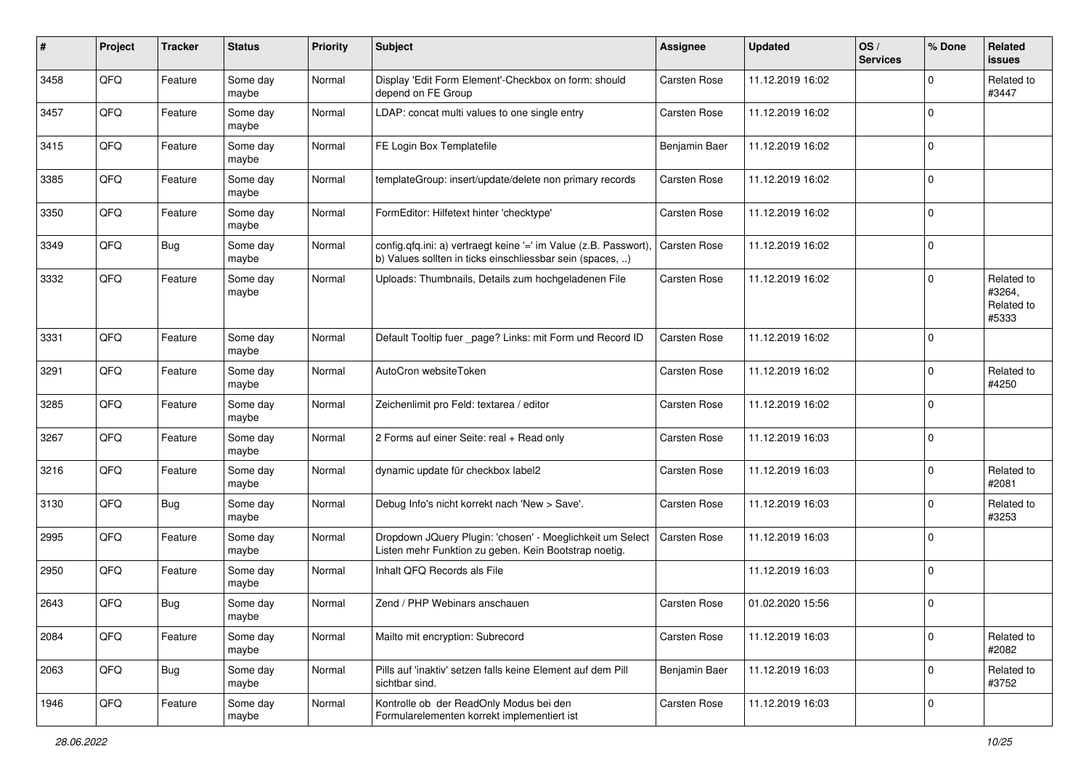| #    | Project | <b>Tracker</b> | <b>Status</b>     | <b>Priority</b> | <b>Subject</b>                                                                                                                | Assignee            | <b>Updated</b>   | OS/<br><b>Services</b> | % Done      | Related<br>issues                           |
|------|---------|----------------|-------------------|-----------------|-------------------------------------------------------------------------------------------------------------------------------|---------------------|------------------|------------------------|-------------|---------------------------------------------|
| 3458 | QFQ     | Feature        | Some day<br>maybe | Normal          | Display 'Edit Form Element'-Checkbox on form: should<br>depend on FE Group                                                    | Carsten Rose        | 11.12.2019 16:02 |                        | $\Omega$    | Related to<br>#3447                         |
| 3457 | QFQ     | Feature        | Some day<br>maybe | Normal          | LDAP: concat multi values to one single entry                                                                                 | <b>Carsten Rose</b> | 11.12.2019 16:02 |                        | 0           |                                             |
| 3415 | QFQ     | Feature        | Some day<br>maybe | Normal          | FE Login Box Templatefile                                                                                                     | Benjamin Baer       | 11.12.2019 16:02 |                        | $\Omega$    |                                             |
| 3385 | QFQ     | Feature        | Some day<br>maybe | Normal          | templateGroup: insert/update/delete non primary records                                                                       | <b>Carsten Rose</b> | 11.12.2019 16:02 |                        | 0           |                                             |
| 3350 | QFQ     | Feature        | Some day<br>maybe | Normal          | FormEditor: Hilfetext hinter 'checktype'                                                                                      | Carsten Rose        | 11.12.2019 16:02 |                        | $\Omega$    |                                             |
| 3349 | QFQ     | Bug            | Some day<br>maybe | Normal          | config.qfq.ini: a) vertraegt keine '=' im Value (z.B. Passwort).<br>b) Values sollten in ticks einschliessbar sein (spaces, ) | Carsten Rose        | 11.12.2019 16:02 |                        | $\Omega$    |                                             |
| 3332 | QFQ     | Feature        | Some day<br>maybe | Normal          | Uploads: Thumbnails, Details zum hochgeladenen File                                                                           | Carsten Rose        | 11.12.2019 16:02 |                        | $\Omega$    | Related to<br>#3264,<br>Related to<br>#5333 |
| 3331 | QFQ     | Feature        | Some day<br>maybe | Normal          | Default Tooltip fuer _page? Links: mit Form und Record ID                                                                     | <b>Carsten Rose</b> | 11.12.2019 16:02 |                        | $\mathbf 0$ |                                             |
| 3291 | QFQ     | Feature        | Some day<br>maybe | Normal          | AutoCron websiteToken                                                                                                         | Carsten Rose        | 11.12.2019 16:02 |                        | $\Omega$    | Related to<br>#4250                         |
| 3285 | QFQ     | Feature        | Some day<br>maybe | Normal          | Zeichenlimit pro Feld: textarea / editor                                                                                      | <b>Carsten Rose</b> | 11.12.2019 16:02 |                        | $\mathbf 0$ |                                             |
| 3267 | QFQ     | Feature        | Some day<br>maybe | Normal          | 2 Forms auf einer Seite: real + Read only                                                                                     | Carsten Rose        | 11.12.2019 16:03 |                        | $\mathbf 0$ |                                             |
| 3216 | QFQ     | Feature        | Some day<br>maybe | Normal          | dynamic update für checkbox label2                                                                                            | Carsten Rose        | 11.12.2019 16:03 |                        | 0           | Related to<br>#2081                         |
| 3130 | QFQ     | Bug            | Some day<br>maybe | Normal          | Debug Info's nicht korrekt nach 'New > Save'.                                                                                 | Carsten Rose        | 11.12.2019 16:03 |                        | $\Omega$    | Related to<br>#3253                         |
| 2995 | QFQ     | Feature        | Some day<br>maybe | Normal          | Dropdown JQuery Plugin: 'chosen' - Moeglichkeit um Select<br>Listen mehr Funktion zu geben. Kein Bootstrap noetig.            | <b>Carsten Rose</b> | 11.12.2019 16:03 |                        | $\Omega$    |                                             |
| 2950 | QFQ     | Feature        | Some day<br>maybe | Normal          | Inhalt QFQ Records als File                                                                                                   |                     | 11.12.2019 16:03 |                        | 0           |                                             |
| 2643 | QFQ     | <b>Bug</b>     | Some day<br>maybe | Normal          | Zend / PHP Webinars anschauen                                                                                                 | Carsten Rose        | 01.02.2020 15:56 |                        | $\Omega$    |                                             |
| 2084 | QFQ     | Feature        | Some day<br>maybe | Normal          | Mailto mit encryption: Subrecord                                                                                              | <b>Carsten Rose</b> | 11.12.2019 16:03 |                        | 0           | Related to<br>#2082                         |
| 2063 | QFQ     | <b>Bug</b>     | Some day<br>maybe | Normal          | Pills auf 'inaktiv' setzen falls keine Element auf dem Pill<br>sichtbar sind.                                                 | Benjamin Baer       | 11.12.2019 16:03 |                        | $\mathbf 0$ | Related to<br>#3752                         |
| 1946 | QFQ     | Feature        | Some day<br>maybe | Normal          | Kontrolle ob der ReadOnly Modus bei den<br>Formularelementen korrekt implementiert ist                                        | Carsten Rose        | 11.12.2019 16:03 |                        | 0           |                                             |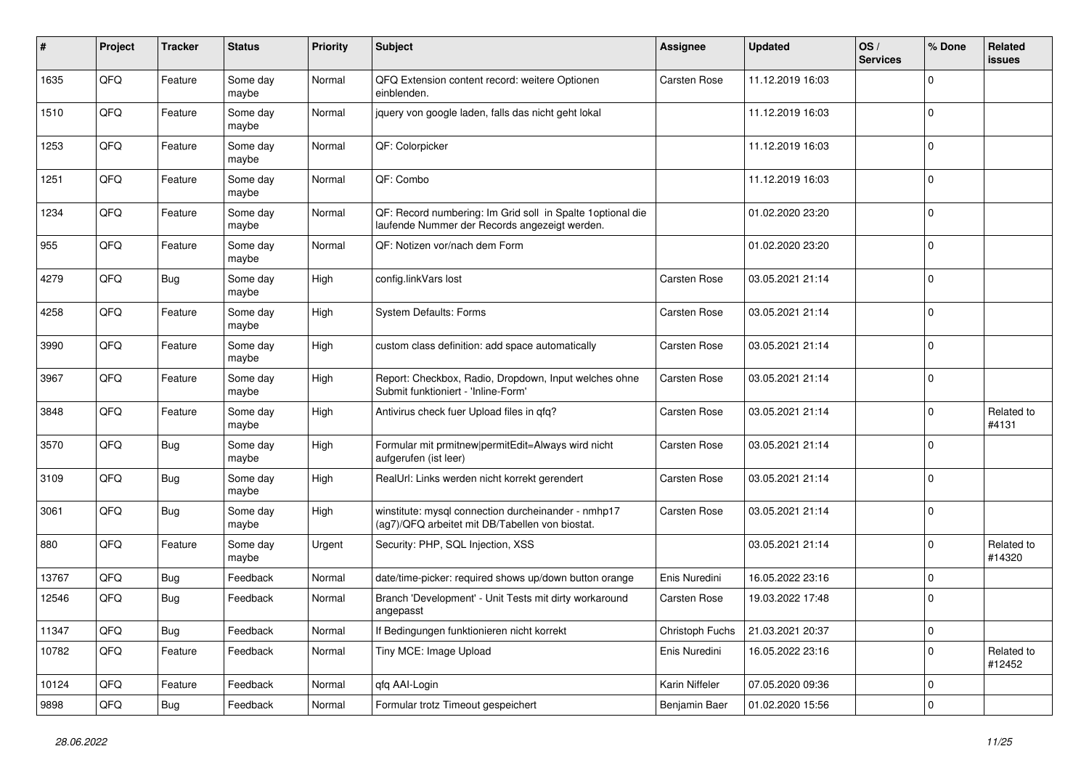| #     | Project | <b>Tracker</b> | <b>Status</b>     | <b>Priority</b> | <b>Subject</b>                                                                                               | Assignee            | <b>Updated</b>   | OS/<br><b>Services</b> | % Done      | Related<br>issues    |
|-------|---------|----------------|-------------------|-----------------|--------------------------------------------------------------------------------------------------------------|---------------------|------------------|------------------------|-------------|----------------------|
| 1635  | QFQ     | Feature        | Some day<br>maybe | Normal          | QFQ Extension content record: weitere Optionen<br>einblenden.                                                | Carsten Rose        | 11.12.2019 16:03 |                        | $\Omega$    |                      |
| 1510  | QFQ     | Feature        | Some day<br>maybe | Normal          | jquery von google laden, falls das nicht geht lokal                                                          |                     | 11.12.2019 16:03 |                        | 0           |                      |
| 1253  | QFQ     | Feature        | Some day<br>maybe | Normal          | QF: Colorpicker                                                                                              |                     | 11.12.2019 16:03 |                        | $\Omega$    |                      |
| 1251  | QFQ     | Feature        | Some day<br>maybe | Normal          | QF: Combo                                                                                                    |                     | 11.12.2019 16:03 |                        | 0           |                      |
| 1234  | QFQ     | Feature        | Some day<br>maybe | Normal          | QF: Record numbering: Im Grid soll in Spalte 1 optional die<br>laufende Nummer der Records angezeigt werden. |                     | 01.02.2020 23:20 |                        | $\Omega$    |                      |
| 955   | QFQ     | Feature        | Some day<br>maybe | Normal          | QF: Notizen vor/nach dem Form                                                                                |                     | 01.02.2020 23:20 |                        | $\Omega$    |                      |
| 4279  | QFQ     | Bug            | Some day<br>maybe | High            | config.linkVars lost                                                                                         | Carsten Rose        | 03.05.2021 21:14 |                        | $\Omega$    |                      |
| 4258  | QFQ     | Feature        | Some day<br>maybe | High            | System Defaults: Forms                                                                                       | <b>Carsten Rose</b> | 03.05.2021 21:14 |                        | $\mathbf 0$ |                      |
| 3990  | QFQ     | Feature        | Some day<br>maybe | High            | custom class definition: add space automatically                                                             | <b>Carsten Rose</b> | 03.05.2021 21:14 |                        | $\mathbf 0$ |                      |
| 3967  | QFQ     | Feature        | Some day<br>maybe | High            | Report: Checkbox, Radio, Dropdown, Input welches ohne<br>Submit funktioniert - 'Inline-Form'                 | <b>Carsten Rose</b> | 03.05.2021 21:14 |                        | 0           |                      |
| 3848  | QFQ     | Feature        | Some day<br>maybe | High            | Antivirus check fuer Upload files in gfg?                                                                    | <b>Carsten Rose</b> | 03.05.2021 21:14 |                        | 0           | Related to<br>#4131  |
| 3570  | QFQ     | Bug            | Some day<br>maybe | High            | Formular mit prmitnew permitEdit=Always wird nicht<br>aufgerufen (ist leer)                                  | <b>Carsten Rose</b> | 03.05.2021 21:14 |                        | $\Omega$    |                      |
| 3109  | QFQ     | <b>Bug</b>     | Some day<br>maybe | High            | RealUrl: Links werden nicht korrekt gerendert                                                                | <b>Carsten Rose</b> | 03.05.2021 21:14 |                        | $\Omega$    |                      |
| 3061  | QFQ     | Bug            | Some day<br>maybe | High            | winstitute: mysql connection durcheinander - nmhp17<br>(ag7)/QFQ arbeitet mit DB/Tabellen von biostat.       | Carsten Rose        | 03.05.2021 21:14 |                        | $\Omega$    |                      |
| 880   | QFQ     | Feature        | Some day<br>maybe | Urgent          | Security: PHP, SQL Injection, XSS                                                                            |                     | 03.05.2021 21:14 |                        | $\Omega$    | Related to<br>#14320 |
| 13767 | QFQ     | Bug            | Feedback          | Normal          | date/time-picker: required shows up/down button orange                                                       | Enis Nuredini       | 16.05.2022 23:16 |                        | $\mathbf 0$ |                      |
| 12546 | QFQ     | <b>Bug</b>     | Feedback          | Normal          | Branch 'Development' - Unit Tests mit dirty workaround<br>angepasst                                          | <b>Carsten Rose</b> | 19.03.2022 17:48 |                        | $\Omega$    |                      |
| 11347 | QFQ     | <b>Bug</b>     | Feedback          | Normal          | If Bedingungen funktionieren nicht korrekt                                                                   | Christoph Fuchs     | 21.03.2021 20:37 |                        | 0           |                      |
| 10782 | QFQ     | Feature        | Feedback          | Normal          | Tiny MCE: Image Upload                                                                                       | Enis Nuredini       | 16.05.2022 23:16 |                        | $\mathbf 0$ | Related to<br>#12452 |
| 10124 | QFQ     | Feature        | Feedback          | Normal          | qfq AAI-Login                                                                                                | Karin Niffeler      | 07.05.2020 09:36 |                        | $\mathbf 0$ |                      |
| 9898  | QFQ     | Bug            | Feedback          | Normal          | Formular trotz Timeout gespeichert                                                                           | Benjamin Baer       | 01.02.2020 15:56 |                        | $\mathbf 0$ |                      |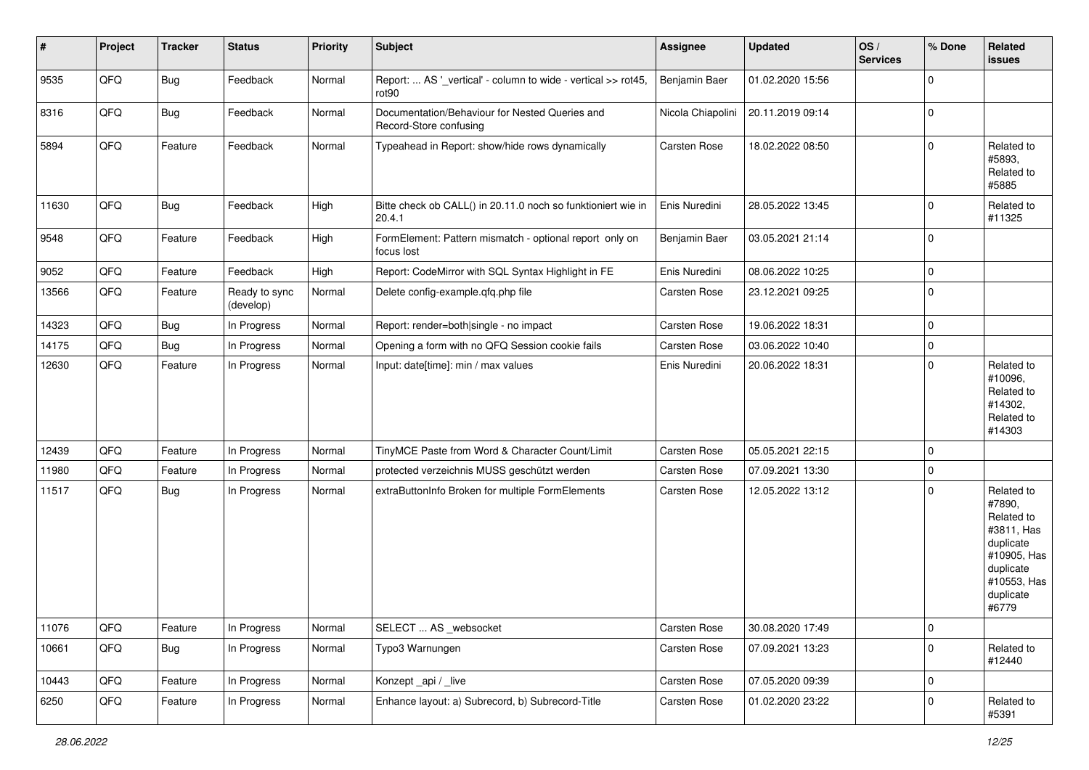| $\sharp$ | Project | <b>Tracker</b> | <b>Status</b>              | <b>Priority</b> | Subject                                                                  | Assignee      | <b>Updated</b>                     | OS/<br><b>Services</b> | % Done      | Related<br><b>issues</b>                                                                                                       |
|----------|---------|----------------|----------------------------|-----------------|--------------------------------------------------------------------------|---------------|------------------------------------|------------------------|-------------|--------------------------------------------------------------------------------------------------------------------------------|
| 9535     | QFQ     | Bug            | Feedback                   | Normal          | Report:  AS '_vertical' - column to wide - vertical >> rot45,<br>rot90   | Benjamin Baer | 01.02.2020 15:56                   |                        | $\Omega$    |                                                                                                                                |
| 8316     | QFQ     | Bug            | Feedback                   | Normal          | Documentation/Behaviour for Nested Queries and<br>Record-Store confusing |               | Nicola Chiapolini 20.11.2019 09:14 |                        | 0           |                                                                                                                                |
| 5894     | QFQ     | Feature        | Feedback                   | Normal          | Typeahead in Report: show/hide rows dynamically                          | Carsten Rose  | 18.02.2022 08:50                   |                        | $\Omega$    | Related to<br>#5893,<br>Related to<br>#5885                                                                                    |
| 11630    | QFQ     | <b>Bug</b>     | Feedback                   | High            | Bitte check ob CALL() in 20.11.0 noch so funktioniert wie in<br>20.4.1   | Enis Nuredini | 28.05.2022 13:45                   |                        | $\mathbf 0$ | Related to<br>#11325                                                                                                           |
| 9548     | QFQ     | Feature        | Feedback                   | High            | FormElement: Pattern mismatch - optional report only on<br>focus lost    | Benjamin Baer | 03.05.2021 21:14                   |                        | $\Omega$    |                                                                                                                                |
| 9052     | QFQ     | Feature        | Feedback                   | High            | Report: CodeMirror with SQL Syntax Highlight in FE                       | Enis Nuredini | 08.06.2022 10:25                   |                        | $\mathbf 0$ |                                                                                                                                |
| 13566    | QFQ     | Feature        | Ready to sync<br>(develop) | Normal          | Delete config-example.qfq.php file                                       | Carsten Rose  | 23.12.2021 09:25                   |                        | $\mathbf 0$ |                                                                                                                                |
| 14323    | QFQ     | Bug            | In Progress                | Normal          | Report: render=both single - no impact                                   | Carsten Rose  | 19.06.2022 18:31                   |                        | $\Omega$    |                                                                                                                                |
| 14175    | QFQ     | Bug            | In Progress                | Normal          | Opening a form with no QFQ Session cookie fails                          | Carsten Rose  | 03.06.2022 10:40                   |                        | $\mathbf 0$ |                                                                                                                                |
| 12630    | QFQ     | Feature        | In Progress                | Normal          | Input: date[time]: min / max values                                      | Enis Nuredini | 20.06.2022 18:31                   |                        | $\Omega$    | Related to<br>#10096,<br>Related to<br>#14302,<br>Related to<br>#14303                                                         |
| 12439    | QFQ     | Feature        | In Progress                | Normal          | TinyMCE Paste from Word & Character Count/Limit                          | Carsten Rose  | 05.05.2021 22:15                   |                        | $\mathbf 0$ |                                                                                                                                |
| 11980    | QFQ     | Feature        | In Progress                | Normal          | protected verzeichnis MUSS geschützt werden                              | Carsten Rose  | 07.09.2021 13:30                   |                        | $\mathbf 0$ |                                                                                                                                |
| 11517    | QFQ     | <b>Bug</b>     | In Progress                | Normal          | extraButtonInfo Broken for multiple FormElements                         | Carsten Rose  | 12.05.2022 13:12                   |                        | $\Omega$    | Related to<br>#7890,<br>Related to<br>#3811, Has<br>duplicate<br>#10905, Has<br>duplicate<br>#10553, Has<br>duplicate<br>#6779 |
| 11076    | QFQ     | Feature        | In Progress                | Normal          | SELECT  AS _websocket                                                    | Carsten Rose  | 30.08.2020 17:49                   |                        | $\mathsf 0$ |                                                                                                                                |
| 10661    | QFQ     | Bug            | In Progress                | Normal          | Typo3 Warnungen                                                          | Carsten Rose  | 07.09.2021 13:23                   |                        | $\mathbf 0$ | Related to<br>#12440                                                                                                           |
| 10443    | QFQ     | Feature        | In Progress                | Normal          | Konzept_api / _live                                                      | Carsten Rose  | 07.05.2020 09:39                   |                        | $\mathbf 0$ |                                                                                                                                |
| 6250     | QFQ     | Feature        | In Progress                | Normal          | Enhance layout: a) Subrecord, b) Subrecord-Title                         | Carsten Rose  | 01.02.2020 23:22                   |                        | $\mathbf 0$ | Related to<br>#5391                                                                                                            |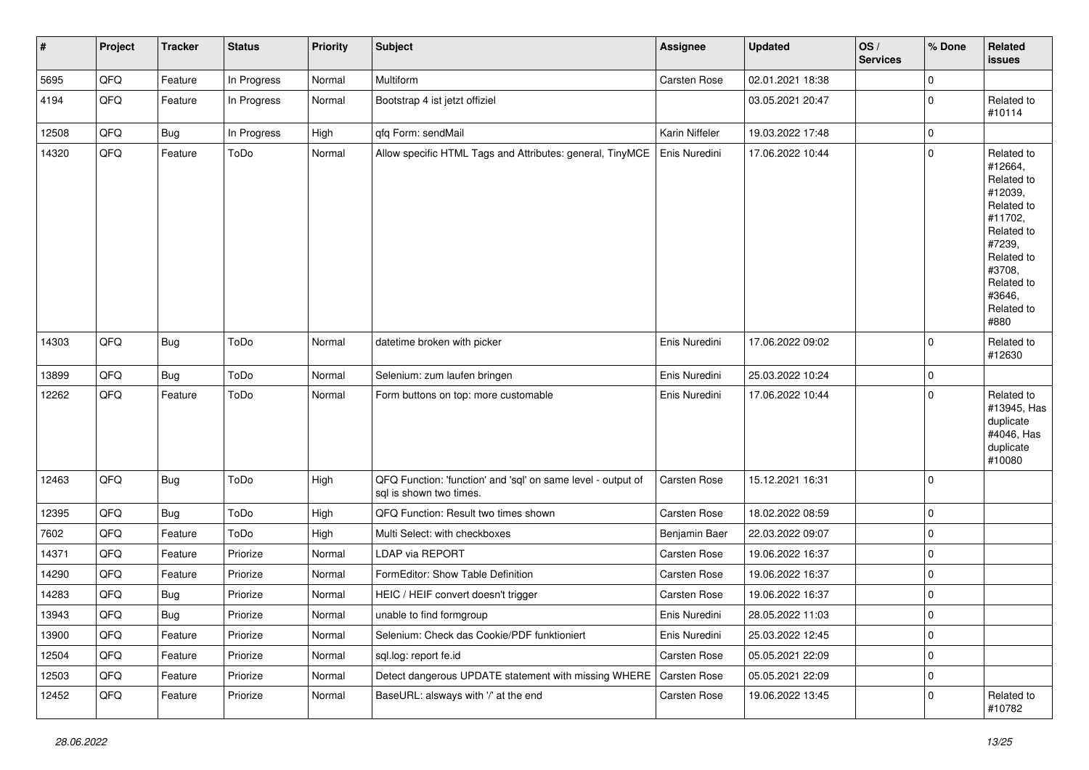| #     | Project | <b>Tracker</b> | <b>Status</b> | Priority | <b>Subject</b>                                                                          | <b>Assignee</b> | <b>Updated</b>   | OS/<br><b>Services</b> | % Done      | Related<br><b>issues</b>                                                                                                                                              |
|-------|---------|----------------|---------------|----------|-----------------------------------------------------------------------------------------|-----------------|------------------|------------------------|-------------|-----------------------------------------------------------------------------------------------------------------------------------------------------------------------|
| 5695  | QFQ     | Feature        | In Progress   | Normal   | Multiform                                                                               | Carsten Rose    | 02.01.2021 18:38 |                        | $\mathbf 0$ |                                                                                                                                                                       |
| 4194  | QFQ     | Feature        | In Progress   | Normal   | Bootstrap 4 ist jetzt offiziel                                                          |                 | 03.05.2021 20:47 |                        | 0           | Related to<br>#10114                                                                                                                                                  |
| 12508 | QFQ     | <b>Bug</b>     | In Progress   | High     | qfq Form: sendMail                                                                      | Karin Niffeler  | 19.03.2022 17:48 |                        | $\mathbf 0$ |                                                                                                                                                                       |
| 14320 | QFQ     | Feature        | ToDo          | Normal   | Allow specific HTML Tags and Attributes: general, TinyMCE                               | Enis Nuredini   | 17.06.2022 10:44 |                        | $\mathbf 0$ | Related to<br>#12664,<br>Related to<br>#12039,<br>Related to<br>#11702,<br>Related to<br>#7239,<br>Related to<br>#3708,<br>Related to<br>#3646,<br>Related to<br>#880 |
| 14303 | QFQ     | Bug            | ToDo          | Normal   | datetime broken with picker                                                             | Enis Nuredini   | 17.06.2022 09:02 |                        | $\mathbf 0$ | Related to<br>#12630                                                                                                                                                  |
| 13899 | QFQ     | Bug            | ToDo          | Normal   | Selenium: zum laufen bringen                                                            | Enis Nuredini   | 25.03.2022 10:24 |                        | $\mathbf 0$ |                                                                                                                                                                       |
| 12262 | QFQ     | Feature        | ToDo          | Normal   | Form buttons on top: more customable                                                    | Enis Nuredini   | 17.06.2022 10:44 |                        | $\mathbf 0$ | Related to<br>#13945, Has<br>duplicate<br>#4046, Has<br>duplicate<br>#10080                                                                                           |
| 12463 | QFQ     | Bug            | ToDo          | High     | QFQ Function: 'function' and 'sql' on same level - output of<br>sql is shown two times. | Carsten Rose    | 15.12.2021 16:31 |                        | $\mathbf 0$ |                                                                                                                                                                       |
| 12395 | QFQ     | <b>Bug</b>     | ToDo          | High     | QFQ Function: Result two times shown                                                    | Carsten Rose    | 18.02.2022 08:59 |                        | $\mathbf 0$ |                                                                                                                                                                       |
| 7602  | QFQ     | Feature        | ToDo          | High     | Multi Select: with checkboxes                                                           | Benjamin Baer   | 22.03.2022 09:07 |                        | $\mathbf 0$ |                                                                                                                                                                       |
| 14371 | QFQ     | Feature        | Priorize      | Normal   | <b>LDAP via REPORT</b>                                                                  | Carsten Rose    | 19.06.2022 16:37 |                        | $\mathbf 0$ |                                                                                                                                                                       |
| 14290 | QFQ     | Feature        | Priorize      | Normal   | FormEditor: Show Table Definition                                                       | Carsten Rose    | 19.06.2022 16:37 |                        | $\mathbf 0$ |                                                                                                                                                                       |
| 14283 | QFQ     | <b>Bug</b>     | Priorize      | Normal   | HEIC / HEIF convert doesn't trigger                                                     | Carsten Rose    | 19.06.2022 16:37 |                        | $\mathbf 0$ |                                                                                                                                                                       |
| 13943 | QFQ     | Bug            | Priorize      | Normal   | unable to find formgroup                                                                | Enis Nuredini   | 28.05.2022 11:03 |                        | $\mathbf 0$ |                                                                                                                                                                       |
| 13900 | QFQ     | Feature        | Priorize      | Normal   | Selenium: Check das Cookie/PDF funktioniert                                             | Enis Nuredini   | 25.03.2022 12:45 |                        | $\mathbf 0$ |                                                                                                                                                                       |
| 12504 | QFQ     | Feature        | Priorize      | Normal   | sql.log: report fe.id                                                                   | Carsten Rose    | 05.05.2021 22:09 |                        | $\mathbf 0$ |                                                                                                                                                                       |
| 12503 | QFQ     | Feature        | Priorize      | Normal   | Detect dangerous UPDATE statement with missing WHERE                                    | Carsten Rose    | 05.05.2021 22:09 |                        | $\mathbf 0$ |                                                                                                                                                                       |
| 12452 | QFQ     | Feature        | Priorize      | Normal   | BaseURL: alsways with '/' at the end                                                    | Carsten Rose    | 19.06.2022 13:45 |                        | $\mathbf 0$ | Related to<br>#10782                                                                                                                                                  |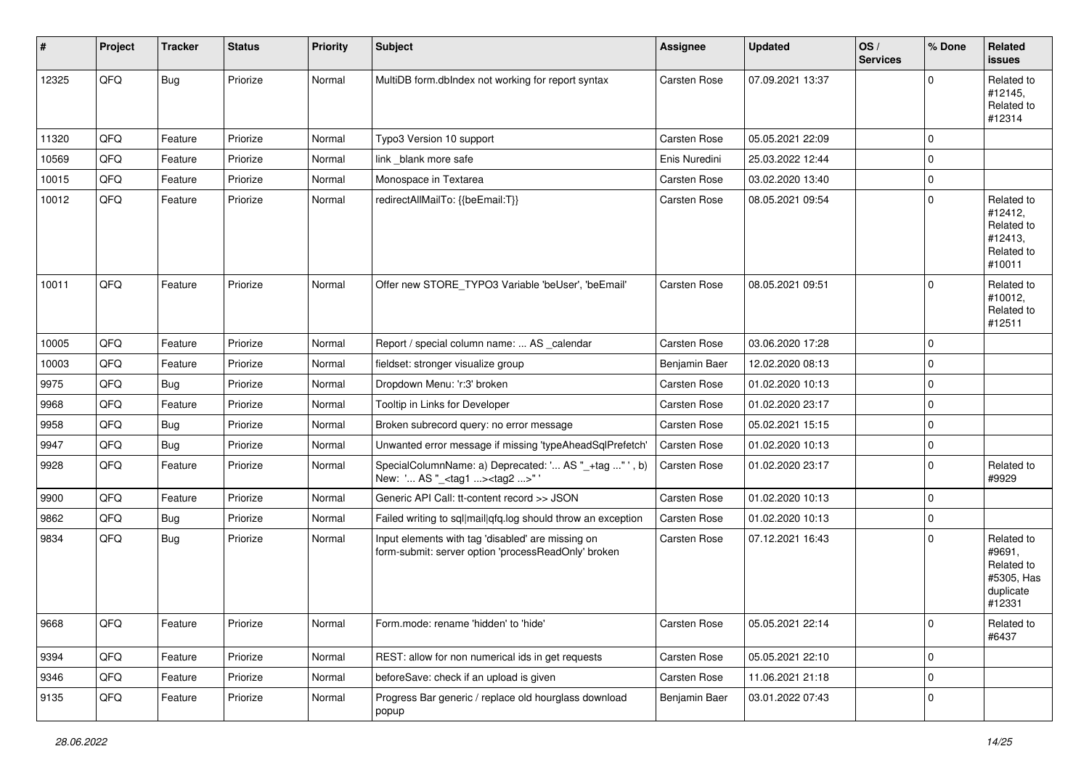| $\sharp$ | Project | <b>Tracker</b> | <b>Status</b> | <b>Priority</b> | <b>Subject</b>                                                                                           | <b>Assignee</b> | <b>Updated</b>   | OS/<br><b>Services</b> | % Done      | Related<br><b>issues</b>                                                |
|----------|---------|----------------|---------------|-----------------|----------------------------------------------------------------------------------------------------------|-----------------|------------------|------------------------|-------------|-------------------------------------------------------------------------|
| 12325    | QFQ     | Bug            | Priorize      | Normal          | MultiDB form.dblndex not working for report syntax                                                       | Carsten Rose    | 07.09.2021 13:37 |                        | $\Omega$    | Related to<br>#12145,<br>Related to<br>#12314                           |
| 11320    | QFQ     | Feature        | Priorize      | Normal          | Typo3 Version 10 support                                                                                 | Carsten Rose    | 05.05.2021 22:09 |                        | $\mathbf 0$ |                                                                         |
| 10569    | QFQ     | Feature        | Priorize      | Normal          | link blank more safe                                                                                     | Enis Nuredini   | 25.03.2022 12:44 |                        | $\mathbf 0$ |                                                                         |
| 10015    | QFQ     | Feature        | Priorize      | Normal          | Monospace in Textarea                                                                                    | Carsten Rose    | 03.02.2020 13:40 |                        | $\mathbf 0$ |                                                                         |
| 10012    | QFQ     | Feature        | Priorize      | Normal          | redirectAllMailTo: {{beEmail:T}}                                                                         | Carsten Rose    | 08.05.2021 09:54 |                        | $\mathbf 0$ | Related to<br>#12412,<br>Related to<br>#12413.<br>Related to<br>#10011  |
| 10011    | QFQ     | Feature        | Priorize      | Normal          | Offer new STORE_TYPO3 Variable 'beUser', 'beEmail'                                                       | Carsten Rose    | 08.05.2021 09:51 |                        | $\Omega$    | Related to<br>#10012,<br>Related to<br>#12511                           |
| 10005    | QFQ     | Feature        | Priorize      | Normal          | Report / special column name:  AS _calendar                                                              | Carsten Rose    | 03.06.2020 17:28 |                        | $\mathbf 0$ |                                                                         |
| 10003    | QFQ     | Feature        | Priorize      | Normal          | fieldset: stronger visualize group                                                                       | Benjamin Baer   | 12.02.2020 08:13 |                        | 0           |                                                                         |
| 9975     | QFQ     | Bug            | Priorize      | Normal          | Dropdown Menu: 'r:3' broken                                                                              | Carsten Rose    | 01.02.2020 10:13 |                        | $\mathbf 0$ |                                                                         |
| 9968     | QFQ     | Feature        | Priorize      | Normal          | Tooltip in Links for Developer                                                                           | Carsten Rose    | 01.02.2020 23:17 |                        | $\mathbf 0$ |                                                                         |
| 9958     | QFQ     | Bug            | Priorize      | Normal          | Broken subrecord query: no error message                                                                 | Carsten Rose    | 05.02.2021 15:15 |                        | $\mathbf 0$ |                                                                         |
| 9947     | QFQ     | <b>Bug</b>     | Priorize      | Normal          | Unwanted error message if missing 'typeAheadSqlPrefetch'                                                 | Carsten Rose    | 01.02.2020 10:13 |                        | $\mathbf 0$ |                                                                         |
| 9928     | QFQ     | Feature        | Priorize      | Normal          | SpecialColumnName: a) Deprecated: ' AS "_+tag " ', b)<br>New: ' AS "_ <tag1><tag2>"</tag2></tag1>        | Carsten Rose    | 01.02.2020 23:17 |                        | 0           | Related to<br>#9929                                                     |
| 9900     | QFQ     | Feature        | Priorize      | Normal          | Generic API Call: tt-content record >> JSON                                                              | Carsten Rose    | 01.02.2020 10:13 |                        | $\mathbf 0$ |                                                                         |
| 9862     | QFQ     | <b>Bug</b>     | Priorize      | Normal          | Failed writing to sql mail qfq.log should throw an exception                                             | Carsten Rose    | 01.02.2020 10:13 |                        | $\mathbf 0$ |                                                                         |
| 9834     | QFQ     | Bug            | Priorize      | Normal          | Input elements with tag 'disabled' are missing on<br>form-submit: server option 'processReadOnly' broken | Carsten Rose    | 07.12.2021 16:43 |                        | $\mathbf 0$ | Related to<br>#9691,<br>Related to<br>#5305, Has<br>duplicate<br>#12331 |
| 9668     | QFQ     | Feature        | Priorize      | Normal          | Form.mode: rename 'hidden' to 'hide'                                                                     | Carsten Rose    | 05.05.2021 22:14 |                        | 0           | Related to<br>#6437                                                     |
| 9394     | QFQ     | Feature        | Priorize      | Normal          | REST: allow for non numerical ids in get requests                                                        | Carsten Rose    | 05.05.2021 22:10 |                        | $\mathbf 0$ |                                                                         |
| 9346     | QFQ     | Feature        | Priorize      | Normal          | beforeSave: check if an upload is given                                                                  | Carsten Rose    | 11.06.2021 21:18 |                        | $\mathbf 0$ |                                                                         |
| 9135     | QFQ     | Feature        | Priorize      | Normal          | Progress Bar generic / replace old hourglass download<br>popup                                           | Benjamin Baer   | 03.01.2022 07:43 |                        | 0           |                                                                         |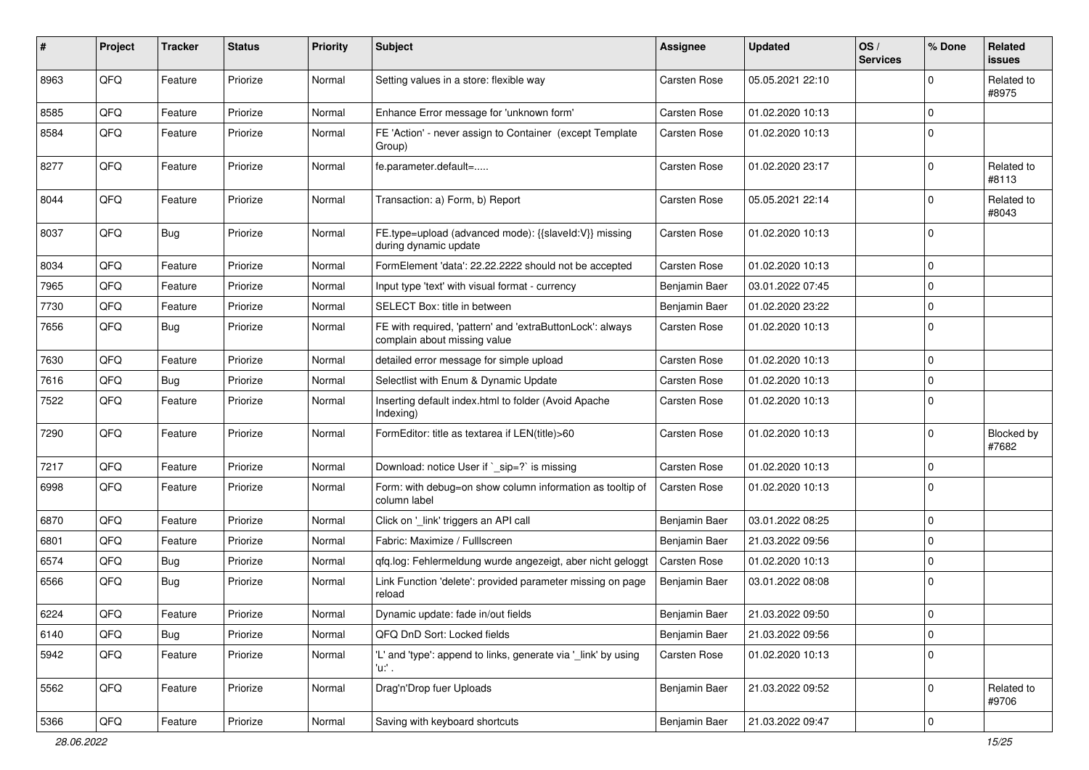| #    | Project | <b>Tracker</b> | <b>Status</b> | <b>Priority</b> | Subject                                                                                   | Assignee            | <b>Updated</b>   | OS/<br><b>Services</b> | % Done      | Related<br>issues   |
|------|---------|----------------|---------------|-----------------|-------------------------------------------------------------------------------------------|---------------------|------------------|------------------------|-------------|---------------------|
| 8963 | QFQ     | Feature        | Priorize      | Normal          | Setting values in a store: flexible way                                                   | Carsten Rose        | 05.05.2021 22:10 |                        | $\Omega$    | Related to<br>#8975 |
| 8585 | QFQ     | Feature        | Priorize      | Normal          | Enhance Error message for 'unknown form'                                                  | Carsten Rose        | 01.02.2020 10:13 |                        | $\Omega$    |                     |
| 8584 | QFQ     | Feature        | Priorize      | Normal          | FE 'Action' - never assign to Container (except Template<br>Group)                        | Carsten Rose        | 01.02.2020 10:13 |                        | $\Omega$    |                     |
| 8277 | QFQ     | Feature        | Priorize      | Normal          | fe.parameter.default=                                                                     | Carsten Rose        | 01.02.2020 23:17 |                        | $\Omega$    | Related to<br>#8113 |
| 8044 | QFQ     | Feature        | Priorize      | Normal          | Transaction: a) Form, b) Report                                                           | Carsten Rose        | 05.05.2021 22:14 |                        | $\Omega$    | Related to<br>#8043 |
| 8037 | QFQ     | Bug            | Priorize      | Normal          | FE.type=upload (advanced mode): {{slaveld:V}} missing<br>during dynamic update            | Carsten Rose        | 01.02.2020 10:13 |                        | $\Omega$    |                     |
| 8034 | QFQ     | Feature        | Priorize      | Normal          | FormElement 'data': 22.22.2222 should not be accepted                                     | Carsten Rose        | 01.02.2020 10:13 |                        | 0           |                     |
| 7965 | QFQ     | Feature        | Priorize      | Normal          | Input type 'text' with visual format - currency                                           | Benjamin Baer       | 03.01.2022 07:45 |                        | 0           |                     |
| 7730 | QFQ     | Feature        | Priorize      | Normal          | SELECT Box: title in between                                                              | Benjamin Baer       | 01.02.2020 23:22 |                        | $\mathbf 0$ |                     |
| 7656 | QFQ     | Bug            | Priorize      | Normal          | FE with required, 'pattern' and 'extraButtonLock': always<br>complain about missing value | <b>Carsten Rose</b> | 01.02.2020 10:13 |                        | $\mathbf 0$ |                     |
| 7630 | QFQ     | Feature        | Priorize      | Normal          | detailed error message for simple upload                                                  | Carsten Rose        | 01.02.2020 10:13 |                        | $\mathbf 0$ |                     |
| 7616 | QFQ     | Bug            | Priorize      | Normal          | Selectlist with Enum & Dynamic Update                                                     | Carsten Rose        | 01.02.2020 10:13 |                        | 0           |                     |
| 7522 | QFQ     | Feature        | Priorize      | Normal          | Inserting default index.html to folder (Avoid Apache<br>Indexing)                         | Carsten Rose        | 01.02.2020 10:13 |                        | $\Omega$    |                     |
| 7290 | QFQ     | Feature        | Priorize      | Normal          | FormEditor: title as textarea if LEN(title)>60                                            | Carsten Rose        | 01.02.2020 10:13 |                        | $\Omega$    | Blocked by<br>#7682 |
| 7217 | QFQ     | Feature        | Priorize      | Normal          | Download: notice User if `_sip=?` is missing                                              | <b>Carsten Rose</b> | 01.02.2020 10:13 |                        | $\Omega$    |                     |
| 6998 | QFQ     | Feature        | Priorize      | Normal          | Form: with debug=on show column information as tooltip of<br>column label                 | <b>Carsten Rose</b> | 01.02.2020 10:13 |                        | 0           |                     |
| 6870 | QFQ     | Feature        | Priorize      | Normal          | Click on '_link' triggers an API call                                                     | Benjamin Baer       | 03.01.2022 08:25 |                        | $\mathbf 0$ |                     |
| 6801 | QFQ     | Feature        | Priorize      | Normal          | Fabric: Maximize / FullIscreen                                                            | Benjamin Baer       | 21.03.2022 09:56 |                        | $\Omega$    |                     |
| 6574 | QFQ     | Bug            | Priorize      | Normal          | qfq.log: Fehlermeldung wurde angezeigt, aber nicht geloggt                                | <b>Carsten Rose</b> | 01.02.2020 10:13 |                        | 0           |                     |
| 6566 | QFQ     | Bug            | Priorize      | Normal          | Link Function 'delete': provided parameter missing on page<br>reload                      | Benjamin Baer       | 03.01.2022 08:08 |                        | $\Omega$    |                     |
| 6224 | QFG     | Feature        | Priorize      | Normal          | Dynamic update: fade in/out fields                                                        | Benjamin Baer       | 21.03.2022 09:50 |                        | $\Omega$    |                     |
| 6140 | QFQ     | <b>Bug</b>     | Priorize      | Normal          | QFQ DnD Sort: Locked fields                                                               | Benjamin Baer       | 21.03.2022 09:56 |                        | $\mathbf 0$ |                     |
| 5942 | QFQ     | Feature        | Priorize      | Normal          | 'L' and 'type': append to links, generate via '_link' by using<br>'u:' .                  | Carsten Rose        | 01.02.2020 10:13 |                        | 0           |                     |
| 5562 | QFQ     | Feature        | Priorize      | Normal          | Drag'n'Drop fuer Uploads                                                                  | Benjamin Baer       | 21.03.2022 09:52 |                        | 0           | Related to<br>#9706 |
| 5366 | QFQ     | Feature        | Priorize      | Normal          | Saving with keyboard shortcuts                                                            | Benjamin Baer       | 21.03.2022 09:47 |                        | 0           |                     |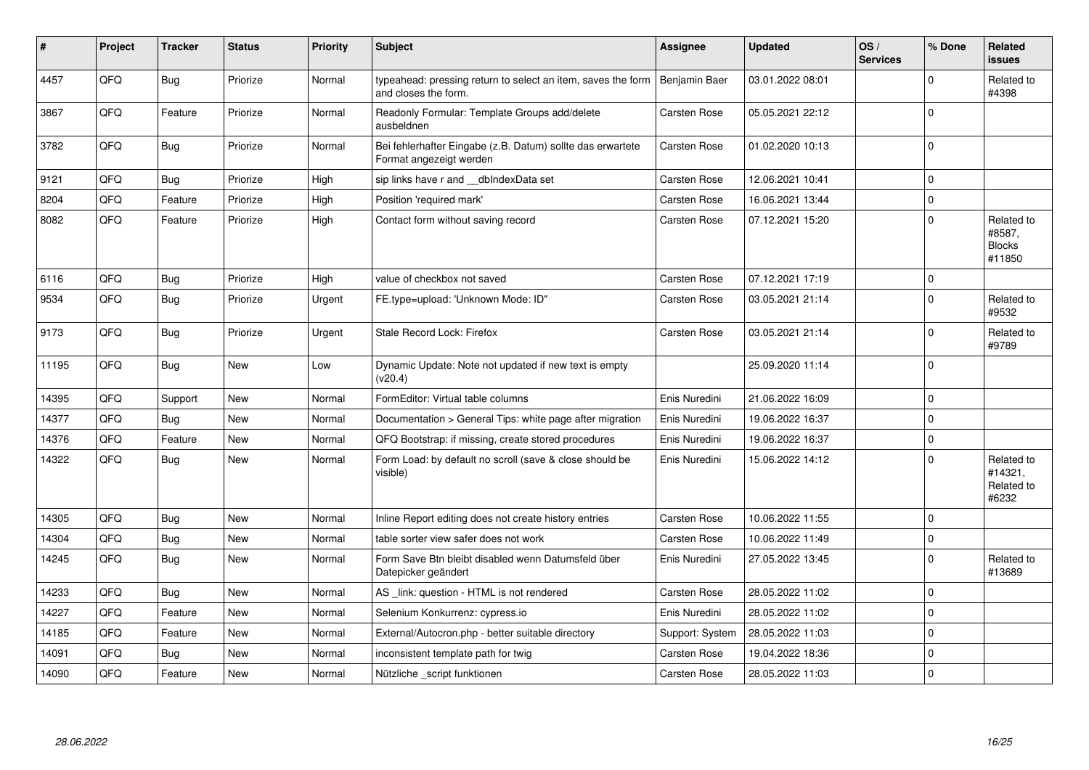| $\vert$ # | Project | <b>Tracker</b> | <b>Status</b> | <b>Priority</b> | <b>Subject</b>                                                                        | <b>Assignee</b> | <b>Updated</b>   | OS/<br><b>Services</b> | % Done      | Related<br>issues                               |
|-----------|---------|----------------|---------------|-----------------|---------------------------------------------------------------------------------------|-----------------|------------------|------------------------|-------------|-------------------------------------------------|
| 4457      | QFQ     | Bug            | Priorize      | Normal          | typeahead: pressing return to select an item, saves the form<br>and closes the form.  | Benjamin Baer   | 03.01.2022 08:01 |                        | $\Omega$    | Related to<br>#4398                             |
| 3867      | QFQ     | Feature        | Priorize      | Normal          | Readonly Formular: Template Groups add/delete<br>ausbeldnen                           | Carsten Rose    | 05.05.2021 22:12 |                        | $\Omega$    |                                                 |
| 3782      | QFQ     | Bug            | Priorize      | Normal          | Bei fehlerhafter Eingabe (z.B. Datum) sollte das erwartete<br>Format angezeigt werden | Carsten Rose    | 01.02.2020 10:13 |                        | $\Omega$    |                                                 |
| 9121      | QFQ     | Bug            | Priorize      | High            | sip links have r and __dbIndexData set                                                | Carsten Rose    | 12.06.2021 10:41 |                        | $\Omega$    |                                                 |
| 8204      | QFQ     | Feature        | Priorize      | High            | Position 'required mark'                                                              | Carsten Rose    | 16.06.2021 13:44 |                        | $\Omega$    |                                                 |
| 8082      | QFQ     | Feature        | Priorize      | High            | Contact form without saving record                                                    | Carsten Rose    | 07.12.2021 15:20 |                        | $\Omega$    | Related to<br>#8587,<br><b>Blocks</b><br>#11850 |
| 6116      | QFQ     | Bug            | Priorize      | High            | value of checkbox not saved                                                           | Carsten Rose    | 07.12.2021 17:19 |                        | $\mathbf 0$ |                                                 |
| 9534      | QFQ     | Bug            | Priorize      | Urgent          | FE.type=upload: 'Unknown Mode: ID"                                                    | Carsten Rose    | 03.05.2021 21:14 |                        | $\Omega$    | Related to<br>#9532                             |
| 9173      | QFQ     | Bug            | Priorize      | Urgent          | Stale Record Lock: Firefox                                                            | Carsten Rose    | 03.05.2021 21:14 |                        | $\Omega$    | Related to<br>#9789                             |
| 11195     | QFQ     | Bug            | <b>New</b>    | Low             | Dynamic Update: Note not updated if new text is empty<br>(v20.4)                      |                 | 25.09.2020 11:14 |                        | $\Omega$    |                                                 |
| 14395     | QFQ     | Support        | <b>New</b>    | Normal          | FormEditor: Virtual table columns                                                     | Enis Nuredini   | 21.06.2022 16:09 |                        | $\Omega$    |                                                 |
| 14377     | QFQ     | Bug            | <b>New</b>    | Normal          | Documentation > General Tips: white page after migration                              | Enis Nuredini   | 19.06.2022 16:37 |                        | $\mathbf 0$ |                                                 |
| 14376     | QFQ     | Feature        | <b>New</b>    | Normal          | QFQ Bootstrap: if missing, create stored procedures                                   | Enis Nuredini   | 19.06.2022 16:37 |                        | $\mathbf 0$ |                                                 |
| 14322     | QFQ     | Bug            | New           | Normal          | Form Load: by default no scroll (save & close should be<br>visible)                   | Enis Nuredini   | 15.06.2022 14:12 |                        | $\Omega$    | Related to<br>#14321,<br>Related to<br>#6232    |
| 14305     | QFQ     | Bug            | <b>New</b>    | Normal          | Inline Report editing does not create history entries                                 | Carsten Rose    | 10.06.2022 11:55 |                        | $\Omega$    |                                                 |
| 14304     | QFQ     | <b>Bug</b>     | <b>New</b>    | Normal          | table sorter view safer does not work                                                 | Carsten Rose    | 10.06.2022 11:49 |                        | $\mathbf 0$ |                                                 |
| 14245     | QFQ     | Bug            | <b>New</b>    | Normal          | Form Save Btn bleibt disabled wenn Datumsfeld über<br>Datepicker geändert             | Enis Nuredini   | 27.05.2022 13:45 |                        | $\Omega$    | Related to<br>#13689                            |
| 14233     | QFQ     | Bug            | <b>New</b>    | Normal          | AS_link: question - HTML is not rendered                                              | Carsten Rose    | 28.05.2022 11:02 |                        | $\Omega$    |                                                 |
| 14227     | QFQ     | Feature        | <b>New</b>    | Normal          | Selenium Konkurrenz: cypress.io                                                       | Enis Nuredini   | 28.05.2022 11:02 |                        | $\mathbf 0$ |                                                 |
| 14185     | QFQ     | Feature        | New           | Normal          | External/Autocron.php - better suitable directory                                     | Support: System | 28.05.2022 11:03 |                        | $\Omega$    |                                                 |
| 14091     | QFQ     | Bug            | <b>New</b>    | Normal          | inconsistent template path for twig                                                   | Carsten Rose    | 19.04.2022 18:36 |                        | $\mathbf 0$ |                                                 |
| 14090     | QFQ     | Feature        | <b>New</b>    | Normal          | Nützliche _script funktionen                                                          | Carsten Rose    | 28.05.2022 11:03 |                        | $\Omega$    |                                                 |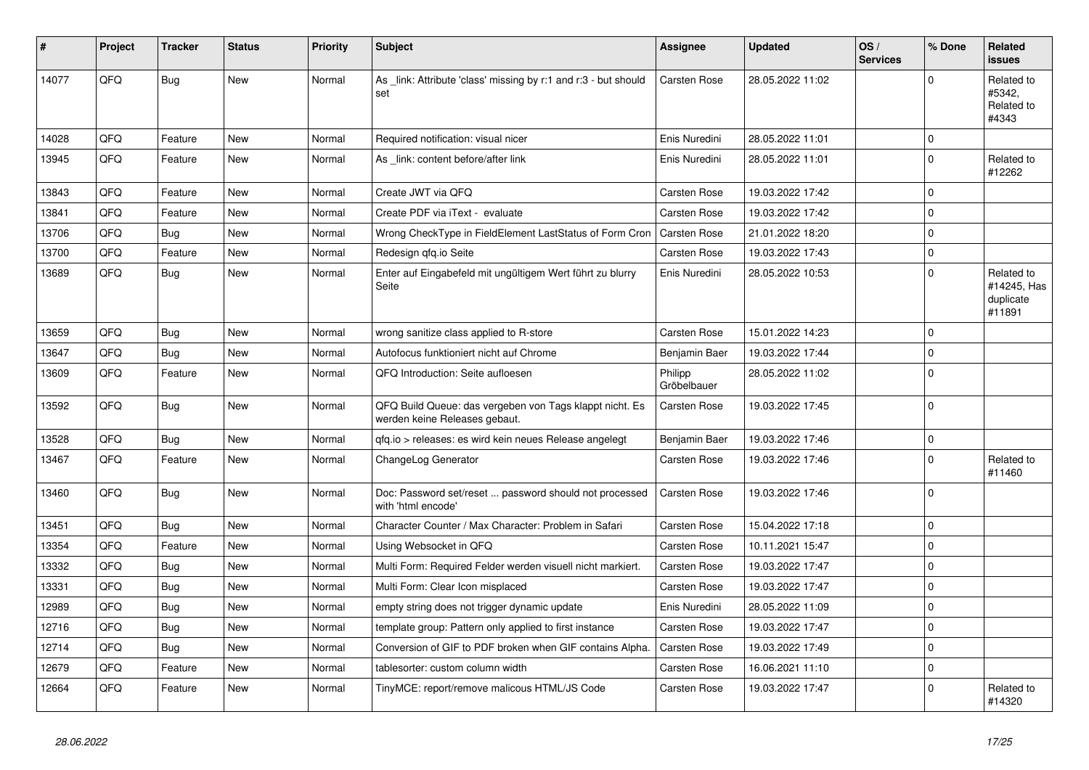| #     | Project | <b>Tracker</b> | <b>Status</b> | <b>Priority</b> | <b>Subject</b>                                                                           | Assignee               | <b>Updated</b>   | OS/<br><b>Services</b> | % Done      | Related<br><b>issues</b>                         |
|-------|---------|----------------|---------------|-----------------|------------------------------------------------------------------------------------------|------------------------|------------------|------------------------|-------------|--------------------------------------------------|
| 14077 | QFQ     | <b>Bug</b>     | <b>New</b>    | Normal          | As _link: Attribute 'class' missing by r:1 and r:3 - but should<br>set                   | Carsten Rose           | 28.05.2022 11:02 |                        | $\Omega$    | Related to<br>#5342.<br>Related to<br>#4343      |
| 14028 | QFQ     | Feature        | <b>New</b>    | Normal          | Required notification: visual nicer                                                      | Enis Nuredini          | 28.05.2022 11:01 |                        | $\Omega$    |                                                  |
| 13945 | QFQ     | Feature        | <b>New</b>    | Normal          | As link: content before/after link                                                       | Enis Nuredini          | 28.05.2022 11:01 |                        | $\Omega$    | Related to<br>#12262                             |
| 13843 | QFQ     | Feature        | <b>New</b>    | Normal          | Create JWT via QFQ                                                                       | Carsten Rose           | 19.03.2022 17:42 |                        | $\mathbf 0$ |                                                  |
| 13841 | QFQ     | Feature        | <b>New</b>    | Normal          | Create PDF via iText - evaluate                                                          | <b>Carsten Rose</b>    | 19.03.2022 17:42 |                        | $\Omega$    |                                                  |
| 13706 | QFQ     | <b>Bug</b>     | <b>New</b>    | Normal          | Wrong CheckType in FieldElement LastStatus of Form Cron                                  | <b>Carsten Rose</b>    | 21.01.2022 18:20 |                        | $\Omega$    |                                                  |
| 13700 | QFQ     | Feature        | <b>New</b>    | Normal          | Redesign gfg.io Seite                                                                    | Carsten Rose           | 19.03.2022 17:43 |                        | $\Omega$    |                                                  |
| 13689 | QFQ     | Bug            | <b>New</b>    | Normal          | Enter auf Eingabefeld mit ungültigem Wert führt zu blurry<br>Seite                       | Enis Nuredini          | 28.05.2022 10:53 |                        | $\Omega$    | Related to<br>#14245, Has<br>duplicate<br>#11891 |
| 13659 | QFQ     | Bug            | <b>New</b>    | Normal          | wrong sanitize class applied to R-store                                                  | Carsten Rose           | 15.01.2022 14:23 |                        | $\Omega$    |                                                  |
| 13647 | QFQ     | <b>Bug</b>     | <b>New</b>    | Normal          | Autofocus funktioniert nicht auf Chrome                                                  | Benjamin Baer          | 19.03.2022 17:44 |                        | $\Omega$    |                                                  |
| 13609 | QFQ     | Feature        | <b>New</b>    | Normal          | QFQ Introduction: Seite aufloesen                                                        | Philipp<br>Gröbelbauer | 28.05.2022 11:02 |                        | $\Omega$    |                                                  |
| 13592 | QFQ     | Bug            | <b>New</b>    | Normal          | QFQ Build Queue: das vergeben von Tags klappt nicht. Es<br>werden keine Releases gebaut. | Carsten Rose           | 19.03.2022 17:45 |                        | $\Omega$    |                                                  |
| 13528 | QFQ     | <b>Bug</b>     | <b>New</b>    | Normal          | qfq.io > releases: es wird kein neues Release angelegt                                   | Benjamin Baer          | 19.03.2022 17:46 |                        | $\Omega$    |                                                  |
| 13467 | QFQ     | Feature        | <b>New</b>    | Normal          | ChangeLog Generator                                                                      | Carsten Rose           | 19.03.2022 17:46 |                        | $\Omega$    | Related to<br>#11460                             |
| 13460 | QFQ     | <b>Bug</b>     | <b>New</b>    | Normal          | Doc: Password set/reset  password should not processed<br>with 'html encode'             | Carsten Rose           | 19.03.2022 17:46 |                        | $\Omega$    |                                                  |
| 13451 | QFQ     | Bug            | <b>New</b>    | Normal          | Character Counter / Max Character: Problem in Safari                                     | Carsten Rose           | 15.04.2022 17:18 |                        | $\mathbf 0$ |                                                  |
| 13354 | QFQ     | Feature        | <b>New</b>    | Normal          | Using Websocket in QFQ                                                                   | Carsten Rose           | 10.11.2021 15:47 |                        | $\Omega$    |                                                  |
| 13332 | QFQ     | Bug            | <b>New</b>    | Normal          | Multi Form: Required Felder werden visuell nicht markiert.                               | Carsten Rose           | 19.03.2022 17:47 |                        | $\mathbf 0$ |                                                  |
| 13331 | QFQ     | <b>Bug</b>     | New           | Normal          | Multi Form: Clear Icon misplaced                                                         | Carsten Rose           | 19.03.2022 17:47 |                        | $\Omega$    |                                                  |
| 12989 | QFQ     | <b>Bug</b>     | <b>New</b>    | Normal          | empty string does not trigger dynamic update                                             | Enis Nuredini          | 28.05.2022 11:09 |                        | $\Omega$    |                                                  |
| 12716 | QFQ     | Bug            | <b>New</b>    | Normal          | template group: Pattern only applied to first instance                                   | Carsten Rose           | 19.03.2022 17:47 |                        | $\Omega$    |                                                  |
| 12714 | QFQ     | Bug            | New           | Normal          | Conversion of GIF to PDF broken when GIF contains Alpha.                                 | Carsten Rose           | 19.03.2022 17:49 |                        | $\mathbf 0$ |                                                  |
| 12679 | QFQ     | Feature        | <b>New</b>    | Normal          | tablesorter: custom column width                                                         | Carsten Rose           | 16.06.2021 11:10 |                        | $\mathbf 0$ |                                                  |
| 12664 | QFQ     | Feature        | <b>New</b>    | Normal          | TinyMCE: report/remove malicous HTML/JS Code                                             | Carsten Rose           | 19.03.2022 17:47 |                        | $\Omega$    | Related to<br>#14320                             |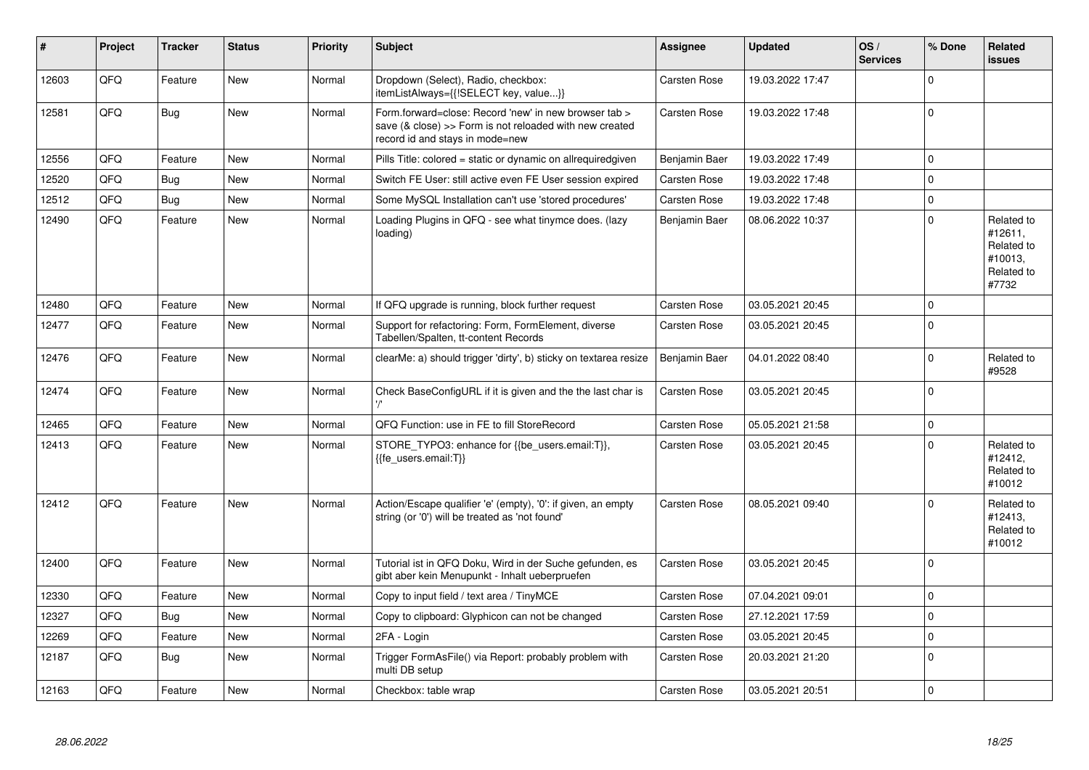| #     | Project | <b>Tracker</b> | <b>Status</b> | <b>Priority</b> | Subject                                                                                                                                             | Assignee            | <b>Updated</b>   | OS/<br><b>Services</b> | % Done      | Related<br><b>issues</b>                                              |
|-------|---------|----------------|---------------|-----------------|-----------------------------------------------------------------------------------------------------------------------------------------------------|---------------------|------------------|------------------------|-------------|-----------------------------------------------------------------------|
| 12603 | QFQ     | Feature        | <b>New</b>    | Normal          | Dropdown (Select), Radio, checkbox:<br>itemListAlways={{!SELECT key, value}}                                                                        | Carsten Rose        | 19.03.2022 17:47 |                        | $\Omega$    |                                                                       |
| 12581 | QFQ     | Bug            | <b>New</b>    | Normal          | Form.forward=close: Record 'new' in new browser tab ><br>save (& close) >> Form is not reloaded with new created<br>record id and stays in mode=new | Carsten Rose        | 19.03.2022 17:48 |                        | $\mathbf 0$ |                                                                       |
| 12556 | QFQ     | Feature        | <b>New</b>    | Normal          | Pills Title: colored = static or dynamic on allrequiredgiven                                                                                        | Benjamin Baer       | 19.03.2022 17:49 |                        | $\Omega$    |                                                                       |
| 12520 | QFQ     | Bug            | New           | Normal          | Switch FE User: still active even FE User session expired                                                                                           | Carsten Rose        | 19.03.2022 17:48 |                        | $\Omega$    |                                                                       |
| 12512 | QFQ     | Bug            | New           | Normal          | Some MySQL Installation can't use 'stored procedures'                                                                                               | Carsten Rose        | 19.03.2022 17:48 |                        | $\pmb{0}$   |                                                                       |
| 12490 | QFQ     | Feature        | New           | Normal          | Loading Plugins in QFQ - see what tinymce does. (lazy<br>loading)                                                                                   | Benjamin Baer       | 08.06.2022 10:37 |                        | $\mathbf 0$ | Related to<br>#12611,<br>Related to<br>#10013,<br>Related to<br>#7732 |
| 12480 | QFQ     | Feature        | New           | Normal          | If QFQ upgrade is running, block further request                                                                                                    | Carsten Rose        | 03.05.2021 20:45 |                        | $\mathbf 0$ |                                                                       |
| 12477 | QFQ     | Feature        | New           | Normal          | Support for refactoring: Form, FormElement, diverse<br>Tabellen/Spalten, tt-content Records                                                         | Carsten Rose        | 03.05.2021 20:45 |                        | $\mathbf 0$ |                                                                       |
| 12476 | QFQ     | Feature        | New           | Normal          | clearMe: a) should trigger 'dirty', b) sticky on textarea resize                                                                                    | Benjamin Baer       | 04.01.2022 08:40 |                        | $\mathbf 0$ | Related to<br>#9528                                                   |
| 12474 | QFQ     | Feature        | New           | Normal          | Check BaseConfigURL if it is given and the the last char is                                                                                         | Carsten Rose        | 03.05.2021 20:45 |                        | $\mathbf 0$ |                                                                       |
| 12465 | QFQ     | Feature        | New           | Normal          | QFQ Function: use in FE to fill StoreRecord                                                                                                         | <b>Carsten Rose</b> | 05.05.2021 21:58 |                        | $\mathbf 0$ |                                                                       |
| 12413 | QFQ     | Feature        | <b>New</b>    | Normal          | STORE_TYPO3: enhance for {{be_users.email:T}},<br>{{fe users.email:T}}                                                                              | Carsten Rose        | 03.05.2021 20:45 |                        | $\Omega$    | Related to<br>#12412,<br>Related to<br>#10012                         |
| 12412 | QFQ     | Feature        | New           | Normal          | Action/Escape qualifier 'e' (empty), '0': if given, an empty<br>string (or '0') will be treated as 'not found'                                      | <b>Carsten Rose</b> | 08.05.2021 09:40 |                        | $\Omega$    | Related to<br>#12413,<br>Related to<br>#10012                         |
| 12400 | QFQ     | Feature        | <b>New</b>    | Normal          | Tutorial ist in QFQ Doku, Wird in der Suche gefunden, es<br>gibt aber kein Menupunkt - Inhalt ueberpruefen                                          | Carsten Rose        | 03.05.2021 20:45 |                        | $\mathbf 0$ |                                                                       |
| 12330 | QFQ     | Feature        | <b>New</b>    | Normal          | Copy to input field / text area / TinyMCE                                                                                                           | Carsten Rose        | 07.04.2021 09:01 |                        | $\mathbf 0$ |                                                                       |
| 12327 | QFQ     | Bug            | <b>New</b>    | Normal          | Copy to clipboard: Glyphicon can not be changed                                                                                                     | Carsten Rose        | 27.12.2021 17:59 |                        | $\mathbf 0$ |                                                                       |
| 12269 | QFQ     | Feature        | New           | Normal          | 2FA - Login                                                                                                                                         | <b>Carsten Rose</b> | 03.05.2021 20:45 |                        | $\pmb{0}$   |                                                                       |
| 12187 | QFQ     | Bug            | New           | Normal          | Trigger FormAsFile() via Report: probably problem with<br>multi DB setup                                                                            | <b>Carsten Rose</b> | 20.03.2021 21:20 |                        | $\mathbf 0$ |                                                                       |
| 12163 | QFQ     | Feature        | New           | Normal          | Checkbox: table wrap                                                                                                                                | <b>Carsten Rose</b> | 03.05.2021 20:51 |                        | $\mathbf 0$ |                                                                       |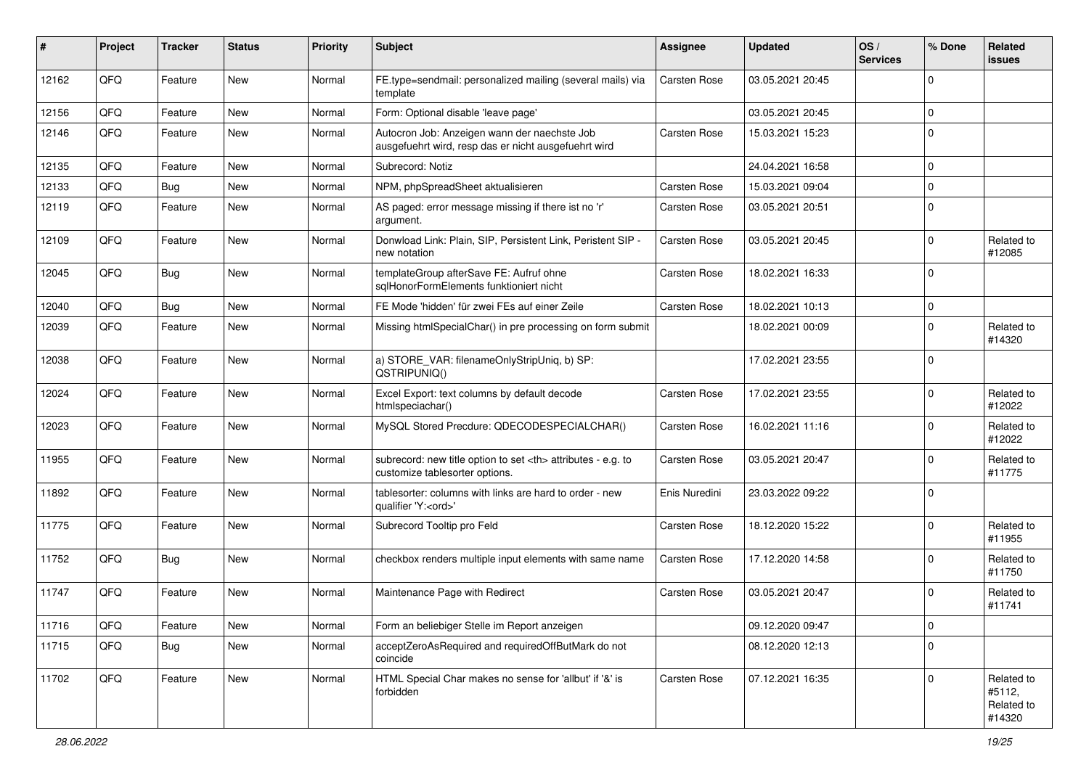| #     | Project | <b>Tracker</b> | <b>Status</b> | <b>Priority</b> | <b>Subject</b>                                                                                       | Assignee                                               | <b>Updated</b>   | OS/<br><b>Services</b> | % Done      | Related<br><b>issues</b>                     |                      |
|-------|---------|----------------|---------------|-----------------|------------------------------------------------------------------------------------------------------|--------------------------------------------------------|------------------|------------------------|-------------|----------------------------------------------|----------------------|
| 12162 | QFQ     | Feature        | New           | Normal          | FE.type=sendmail: personalized mailing (several mails) via<br>template                               | <b>Carsten Rose</b>                                    | 03.05.2021 20:45 |                        | $\Omega$    |                                              |                      |
| 12156 | QFQ     | Feature        | New           | Normal          | Form: Optional disable 'leave page'                                                                  |                                                        | 03.05.2021 20:45 |                        | $\Omega$    |                                              |                      |
| 12146 | QFQ     | Feature        | New           | Normal          | Autocron Job: Anzeigen wann der naechste Job<br>ausgefuehrt wird, resp das er nicht ausgefuehrt wird | <b>Carsten Rose</b>                                    | 15.03.2021 15:23 |                        | $\Omega$    |                                              |                      |
| 12135 | QFQ     | Feature        | New           | Normal          | Subrecord: Notiz                                                                                     |                                                        | 24.04.2021 16:58 |                        | $\Omega$    |                                              |                      |
| 12133 | QFQ     | Bug            | New           | Normal          | NPM, phpSpreadSheet aktualisieren                                                                    | <b>Carsten Rose</b>                                    | 15.03.2021 09:04 |                        | $\mathbf 0$ |                                              |                      |
| 12119 | QFQ     | Feature        | New           | Normal          | AS paged: error message missing if there ist no 'r'<br>argument.                                     | <b>Carsten Rose</b>                                    | 03.05.2021 20:51 |                        | $\Omega$    |                                              |                      |
| 12109 | QFQ     | Feature        | New           | Normal          | Donwload Link: Plain, SIP, Persistent Link, Peristent SIP -<br>new notation                          | <b>Carsten Rose</b>                                    | 03.05.2021 20:45 |                        | $\Omega$    | Related to<br>#12085                         |                      |
| 12045 | QFQ     | <b>Bug</b>     | New           | Normal          | templateGroup afterSave FE: Aufruf ohne<br>sglHonorFormElements funktioniert nicht                   | <b>Carsten Rose</b>                                    | 18.02.2021 16:33 |                        | $\Omega$    |                                              |                      |
| 12040 | QFQ     | Bug            | <b>New</b>    | Normal          | FE Mode 'hidden' für zwei FEs auf einer Zeile                                                        | <b>Carsten Rose</b>                                    | 18.02.2021 10:13 |                        | $\mathbf 0$ |                                              |                      |
| 12039 | QFQ     | Feature        | <b>New</b>    | Normal          | Missing htmlSpecialChar() in pre processing on form submit                                           |                                                        | 18.02.2021 00:09 |                        | $\Omega$    | Related to<br>#14320                         |                      |
| 12038 | QFQ     | Feature        | New           | Normal          | a) STORE_VAR: filenameOnlyStripUniq, b) SP:<br>QSTRIPUNIQ()                                          |                                                        | 17.02.2021 23:55 |                        | 0           |                                              |                      |
| 12024 | QFQ     | Feature        | New           | Normal          | Excel Export: text columns by default decode<br>htmlspeciachar()                                     | <b>Carsten Rose</b>                                    | 17.02.2021 23:55 |                        | $\Omega$    | Related to<br>#12022                         |                      |
| 12023 | QFQ     | Feature        | New           | Normal          | MySQL Stored Precdure: QDECODESPECIALCHAR()                                                          | <b>Carsten Rose</b>                                    | 16.02.2021 11:16 |                        | $\Omega$    | Related to<br>#12022                         |                      |
| 11955 | QFQ     | Feature        | New           | Normal          | subrecord: new title option to set <th> attributes - e.g. to<br/>customize tablesorter options.</th> | attributes - e.g. to<br>customize tablesorter options. | Carsten Rose     | 03.05.2021 20:47       |             | $\Omega$                                     | Related to<br>#11775 |
| 11892 | QFQ     | Feature        | New           | Normal          | tablesorter: columns with links are hard to order - new<br>qualifier 'Y: <ord>'</ord>                | Enis Nuredini                                          | 23.03.2022 09:22 |                        | $\Omega$    |                                              |                      |
| 11775 | QFQ     | Feature        | New           | Normal          | Subrecord Tooltip pro Feld                                                                           | Carsten Rose                                           | 18.12.2020 15:22 |                        | $\Omega$    | Related to<br>#11955                         |                      |
| 11752 | QFQ     | Bug            | New           | Normal          | checkbox renders multiple input elements with same name                                              | <b>Carsten Rose</b>                                    | 17.12.2020 14:58 |                        | $\Omega$    | Related to<br>#11750                         |                      |
| 11747 | QFQ     | Feature        | <b>New</b>    | Normal          | Maintenance Page with Redirect                                                                       | <b>Carsten Rose</b>                                    | 03.05.2021 20:47 |                        | $\mathbf 0$ | Related to<br>#11741                         |                      |
| 11716 | QFQ     | Feature        | New           | Normal          | Form an beliebiger Stelle im Report anzeigen                                                         |                                                        | 09.12.2020 09:47 |                        | $\mathsf 0$ |                                              |                      |
| 11715 | QFQ     | <b>Bug</b>     | New           | Normal          | acceptZeroAsRequired and requiredOffButMark do not<br>coincide                                       |                                                        | 08.12.2020 12:13 |                        | $\mathbf 0$ |                                              |                      |
| 11702 | QFQ     | Feature        | New           | Normal          | HTML Special Char makes no sense for 'allbut' if '&' is<br>forbidden                                 | <b>Carsten Rose</b>                                    | 07.12.2021 16:35 |                        | $\Omega$    | Related to<br>#5112,<br>Related to<br>#14320 |                      |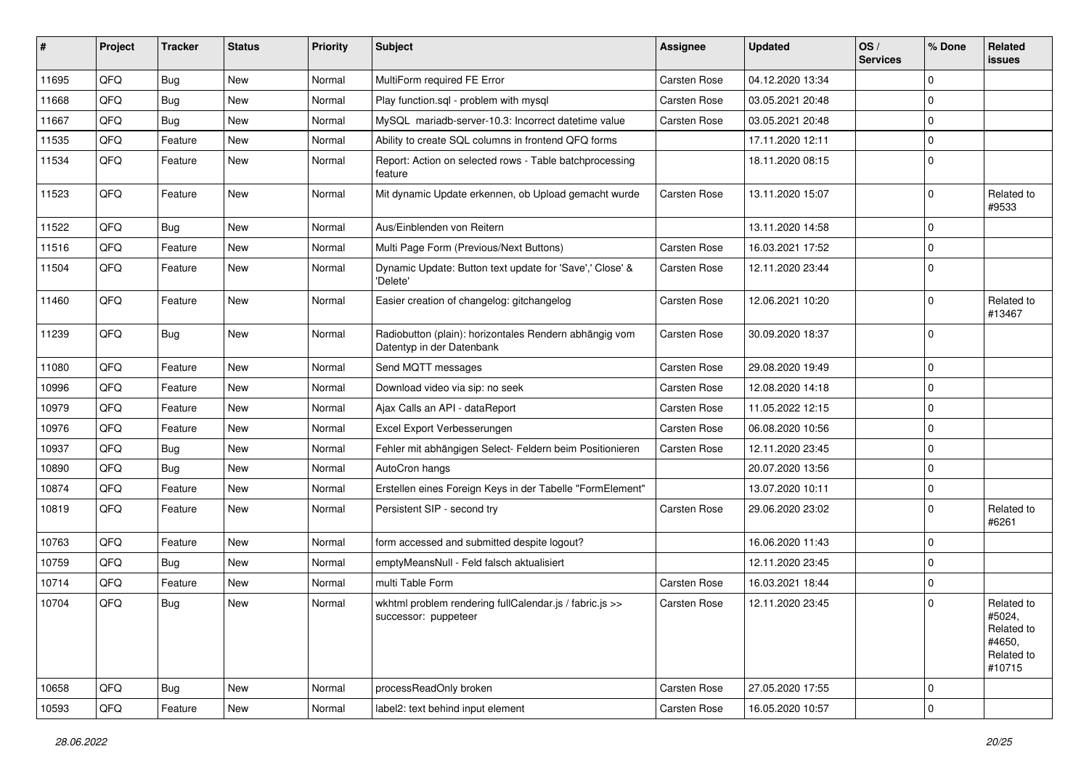| #     | Project | <b>Tracker</b> | <b>Status</b> | <b>Priority</b> | <b>Subject</b>                                                                      | Assignee            | <b>Updated</b>   | OS/<br><b>Services</b> | % Done      | Related<br><b>issues</b>                                             |
|-------|---------|----------------|---------------|-----------------|-------------------------------------------------------------------------------------|---------------------|------------------|------------------------|-------------|----------------------------------------------------------------------|
| 11695 | QFQ     | Bug            | <b>New</b>    | Normal          | MultiForm required FE Error                                                         | Carsten Rose        | 04.12.2020 13:34 |                        | $\mathbf 0$ |                                                                      |
| 11668 | QFQ     | Bug            | <b>New</b>    | Normal          | Play function.sql - problem with mysql                                              | Carsten Rose        | 03.05.2021 20:48 |                        | $\mathbf 0$ |                                                                      |
| 11667 | QFQ     | <b>Bug</b>     | <b>New</b>    | Normal          | MySQL mariadb-server-10.3: Incorrect datetime value                                 | Carsten Rose        | 03.05.2021 20:48 |                        | $\mathbf 0$ |                                                                      |
| 11535 | QFQ     | Feature        | <b>New</b>    | Normal          | Ability to create SQL columns in frontend QFQ forms                                 |                     | 17.11.2020 12:11 |                        | $\mathbf 0$ |                                                                      |
| 11534 | QFQ     | Feature        | New           | Normal          | Report: Action on selected rows - Table batchprocessing<br>feature                  |                     | 18.11.2020 08:15 |                        | $\mathbf 0$ |                                                                      |
| 11523 | QFQ     | Feature        | New           | Normal          | Mit dynamic Update erkennen, ob Upload gemacht wurde                                | <b>Carsten Rose</b> | 13.11.2020 15:07 |                        | $\mathbf 0$ | Related to<br>#9533                                                  |
| 11522 | QFQ     | Bug            | <b>New</b>    | Normal          | Aus/Einblenden von Reitern                                                          |                     | 13.11.2020 14:58 |                        | $\mathbf 0$ |                                                                      |
| 11516 | QFQ     | Feature        | New           | Normal          | Multi Page Form (Previous/Next Buttons)                                             | Carsten Rose        | 16.03.2021 17:52 |                        | $\mathbf 0$ |                                                                      |
| 11504 | QFQ     | Feature        | New           | Normal          | Dynamic Update: Button text update for 'Save',' Close' &<br>'Delete'                | <b>Carsten Rose</b> | 12.11.2020 23:44 |                        | $\mathbf 0$ |                                                                      |
| 11460 | QFQ     | Feature        | <b>New</b>    | Normal          | Easier creation of changelog: gitchangelog                                          | <b>Carsten Rose</b> | 12.06.2021 10:20 |                        | $\mathbf 0$ | Related to<br>#13467                                                 |
| 11239 | QFQ     | Bug            | New           | Normal          | Radiobutton (plain): horizontales Rendern abhängig vom<br>Datentyp in der Datenbank | <b>Carsten Rose</b> | 30.09.2020 18:37 |                        | $\mathbf 0$ |                                                                      |
| 11080 | QFQ     | Feature        | New           | Normal          | Send MQTT messages                                                                  | Carsten Rose        | 29.08.2020 19:49 |                        | $\mathbf 0$ |                                                                      |
| 10996 | QFQ     | Feature        | New           | Normal          | Download video via sip: no seek                                                     | Carsten Rose        | 12.08.2020 14:18 |                        | $\mathbf 0$ |                                                                      |
| 10979 | QFQ     | Feature        | <b>New</b>    | Normal          | Ajax Calls an API - dataReport                                                      | Carsten Rose        | 11.05.2022 12:15 |                        | $\mathbf 0$ |                                                                      |
| 10976 | QFQ     | Feature        | <b>New</b>    | Normal          | Excel Export Verbesserungen                                                         | Carsten Rose        | 06.08.2020 10:56 |                        | $\mathbf 0$ |                                                                      |
| 10937 | QFQ     | <b>Bug</b>     | New           | Normal          | Fehler mit abhängigen Select- Feldern beim Positionieren                            | <b>Carsten Rose</b> | 12.11.2020 23:45 |                        | $\mathbf 0$ |                                                                      |
| 10890 | QFQ     | Bug            | <b>New</b>    | Normal          | AutoCron hangs                                                                      |                     | 20.07.2020 13:56 |                        | $\mathbf 0$ |                                                                      |
| 10874 | QFQ     | Feature        | New           | Normal          | Erstellen eines Foreign Keys in der Tabelle "FormElement"                           |                     | 13.07.2020 10:11 |                        | $\mathbf 0$ |                                                                      |
| 10819 | QFQ     | Feature        | New           | Normal          | Persistent SIP - second try                                                         | Carsten Rose        | 29.06.2020 23:02 |                        | $\Omega$    | Related to<br>#6261                                                  |
| 10763 | QFQ     | Feature        | <b>New</b>    | Normal          | form accessed and submitted despite logout?                                         |                     | 16.06.2020 11:43 |                        | $\mathbf 0$ |                                                                      |
| 10759 | QFQ     | Bug            | <b>New</b>    | Normal          | emptyMeansNull - Feld falsch aktualisiert                                           |                     | 12.11.2020 23:45 |                        | $\mathbf 0$ |                                                                      |
| 10714 | QFQ     | Feature        | <b>New</b>    | Normal          | multi Table Form                                                                    | Carsten Rose        | 16.03.2021 18:44 |                        | $\mathbf 0$ |                                                                      |
| 10704 | QFQ     | <b>Bug</b>     | New           | Normal          | wkhtml problem rendering fullCalendar.js / fabric.js >><br>successor: puppeteer     | Carsten Rose        | 12.11.2020 23:45 |                        | $\mathbf 0$ | Related to<br>#5024,<br>Related to<br>#4650,<br>Related to<br>#10715 |
| 10658 | QFQ     | <b>Bug</b>     | New           | Normal          | processReadOnly broken                                                              | Carsten Rose        | 27.05.2020 17:55 |                        | $\mathbf 0$ |                                                                      |
| 10593 | QFQ     | Feature        | New           | Normal          | label2: text behind input element                                                   | Carsten Rose        | 16.05.2020 10:57 |                        | $\mathbf 0$ |                                                                      |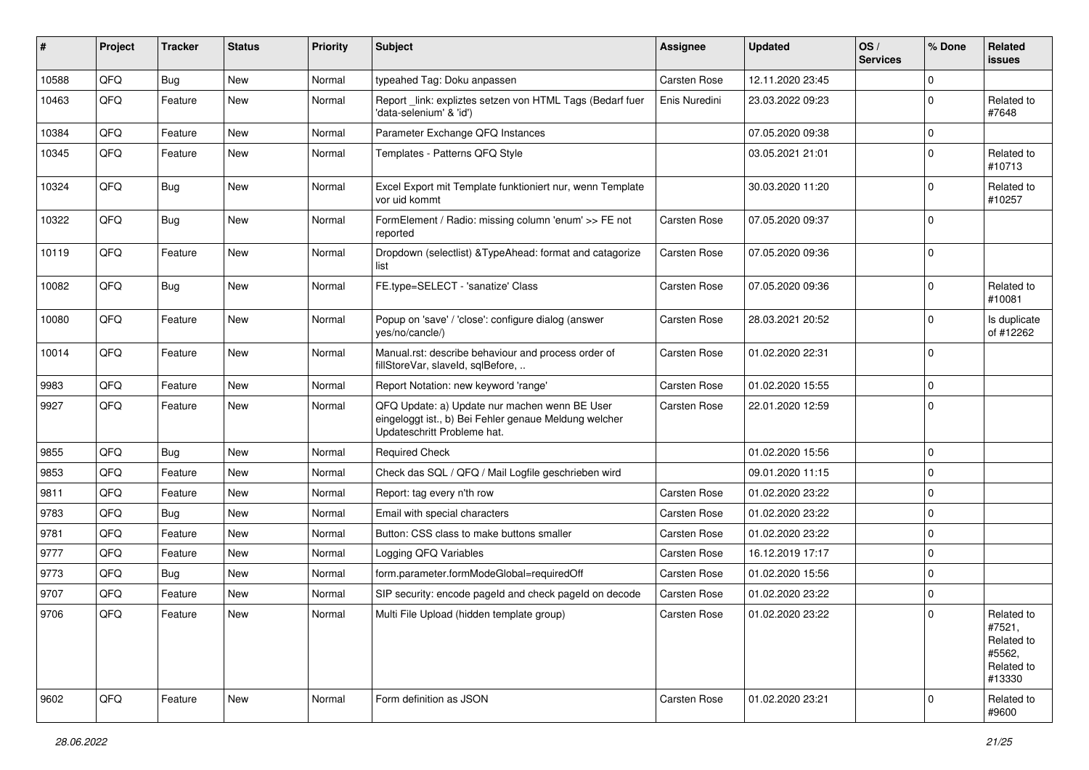| ∦     | Project | <b>Tracker</b> | <b>Status</b> | <b>Priority</b> | Subject                                                                                                                               | Assignee            | <b>Updated</b>   | OS/<br><b>Services</b> | % Done      | Related<br><b>issues</b>                                             |
|-------|---------|----------------|---------------|-----------------|---------------------------------------------------------------------------------------------------------------------------------------|---------------------|------------------|------------------------|-------------|----------------------------------------------------------------------|
| 10588 | QFQ     | Bug            | <b>New</b>    | Normal          | typeahed Tag: Doku anpassen                                                                                                           | <b>Carsten Rose</b> | 12.11.2020 23:45 |                        | $\mathbf 0$ |                                                                      |
| 10463 | QFQ     | Feature        | New           | Normal          | Report_link: expliztes setzen von HTML Tags (Bedarf fuer<br>'data-selenium' & 'id')                                                   | Enis Nuredini       | 23.03.2022 09:23 |                        | 0           | Related to<br>#7648                                                  |
| 10384 | QFQ     | Feature        | <b>New</b>    | Normal          | Parameter Exchange QFQ Instances                                                                                                      |                     | 07.05.2020 09:38 |                        | $\mathbf 0$ |                                                                      |
| 10345 | QFQ     | Feature        | New           | Normal          | Templates - Patterns QFQ Style                                                                                                        |                     | 03.05.2021 21:01 |                        | 0           | Related to<br>#10713                                                 |
| 10324 | QFQ     | Bug            | <b>New</b>    | Normal          | Excel Export mit Template funktioniert nur, wenn Template<br>vor uid kommt                                                            |                     | 30.03.2020 11:20 |                        | $\Omega$    | Related to<br>#10257                                                 |
| 10322 | QFQ     | <b>Bug</b>     | New           | Normal          | FormElement / Radio: missing column 'enum' >> FE not<br>reported                                                                      | Carsten Rose        | 07.05.2020 09:37 |                        | $\mathbf 0$ |                                                                      |
| 10119 | QFQ     | Feature        | New           | Normal          | Dropdown (selectlist) & TypeAhead: format and catagorize<br>list                                                                      | Carsten Rose        | 07.05.2020 09:36 |                        | $\Omega$    |                                                                      |
| 10082 | QFQ     | Bug            | <b>New</b>    | Normal          | FE.type=SELECT - 'sanatize' Class                                                                                                     | Carsten Rose        | 07.05.2020 09:36 |                        | $\mathbf 0$ | Related to<br>#10081                                                 |
| 10080 | QFQ     | Feature        | <b>New</b>    | Normal          | Popup on 'save' / 'close': configure dialog (answer<br>yes/no/cancle/)                                                                | Carsten Rose        | 28.03.2021 20:52 |                        | $\mathbf 0$ | Is duplicate<br>of #12262                                            |
| 10014 | QFQ     | Feature        | New           | Normal          | Manual.rst: describe behaviour and process order of<br>fillStoreVar, slaveId, sqlBefore,                                              | Carsten Rose        | 01.02.2020 22:31 |                        | $\mathbf 0$ |                                                                      |
| 9983  | QFQ     | Feature        | <b>New</b>    | Normal          | Report Notation: new keyword 'range'                                                                                                  | Carsten Rose        | 01.02.2020 15:55 |                        | $\mathbf 0$ |                                                                      |
| 9927  | QFQ     | Feature        | New           | Normal          | QFQ Update: a) Update nur machen wenn BE User<br>eingeloggt ist., b) Bei Fehler genaue Meldung welcher<br>Updateschritt Probleme hat. | Carsten Rose        | 22.01.2020 12:59 |                        | $\mathbf 0$ |                                                                      |
| 9855  | QFQ     | <b>Bug</b>     | <b>New</b>    | Normal          | <b>Required Check</b>                                                                                                                 |                     | 01.02.2020 15:56 |                        | $\mathbf 0$ |                                                                      |
| 9853  | QFQ     | Feature        | <b>New</b>    | Normal          | Check das SQL / QFQ / Mail Logfile geschrieben wird                                                                                   |                     | 09.01.2020 11:15 |                        | $\mathbf 0$ |                                                                      |
| 9811  | QFQ     | Feature        | New           | Normal          | Report: tag every n'th row                                                                                                            | Carsten Rose        | 01.02.2020 23:22 |                        | $\mathbf 0$ |                                                                      |
| 9783  | QFQ     | Bug            | <b>New</b>    | Normal          | Email with special characters                                                                                                         | Carsten Rose        | 01.02.2020 23:22 |                        | $\mathbf 0$ |                                                                      |
| 9781  | QFQ     | Feature        | <b>New</b>    | Normal          | Button: CSS class to make buttons smaller                                                                                             | Carsten Rose        | 01.02.2020 23:22 |                        | $\mathbf 0$ |                                                                      |
| 9777  | QFQ     | Feature        | New           | Normal          | Logging QFQ Variables                                                                                                                 | Carsten Rose        | 16.12.2019 17:17 |                        | $\mathbf 0$ |                                                                      |
| 9773  | QFQ     | Bug            | New           | Normal          | form.parameter.formModeGlobal=requiredOff                                                                                             | Carsten Rose        | 01.02.2020 15:56 |                        | 0           |                                                                      |
| 9707  | QFQ     | Feature        | New           | Normal          | SIP security: encode pageld and check pageld on decode                                                                                | Carsten Rose        | 01.02.2020 23:22 |                        | $\mathbf 0$ |                                                                      |
| 9706  | QFQ     | Feature        | New           | Normal          | Multi File Upload (hidden template group)                                                                                             | Carsten Rose        | 01.02.2020 23:22 |                        | $\Omega$    | Related to<br>#7521,<br>Related to<br>#5562,<br>Related to<br>#13330 |
| 9602  | QFQ     | Feature        | New           | Normal          | Form definition as JSON                                                                                                               | Carsten Rose        | 01.02.2020 23:21 |                        | 0           | Related to<br>#9600                                                  |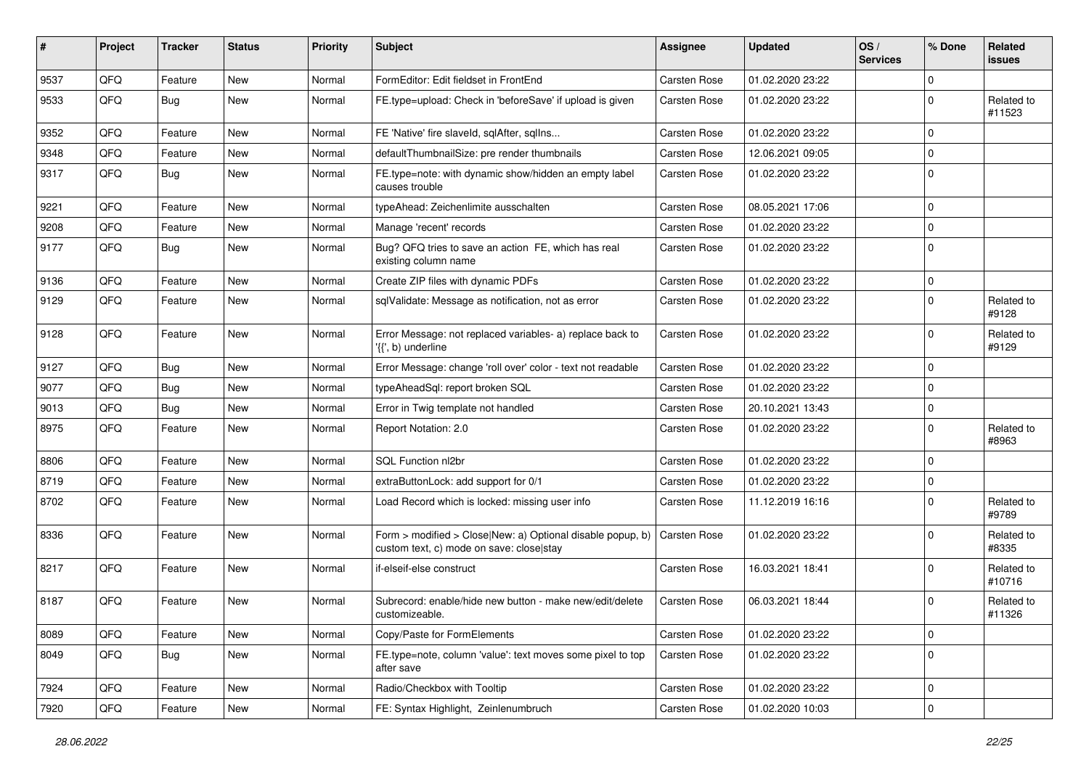| #    | Project | <b>Tracker</b> | <b>Status</b> | <b>Priority</b> | Subject                                                                                                | Assignee            | <b>Updated</b>   | OS/<br><b>Services</b> | % Done       | Related<br>issues    |
|------|---------|----------------|---------------|-----------------|--------------------------------------------------------------------------------------------------------|---------------------|------------------|------------------------|--------------|----------------------|
| 9537 | QFQ     | Feature        | <b>New</b>    | Normal          | FormEditor: Edit fieldset in FrontEnd                                                                  | Carsten Rose        | 01.02.2020 23:22 |                        | $\Omega$     |                      |
| 9533 | QFQ     | Bug            | <b>New</b>    | Normal          | FE.type=upload: Check in 'beforeSave' if upload is given                                               | Carsten Rose        | 01.02.2020 23:22 |                        | $\Omega$     | Related to<br>#11523 |
| 9352 | QFQ     | Feature        | <b>New</b>    | Normal          | FE 'Native' fire slaveld, sqlAfter, sqlIns                                                             | <b>Carsten Rose</b> | 01.02.2020 23:22 |                        | $\Omega$     |                      |
| 9348 | QFQ     | Feature        | <b>New</b>    | Normal          | defaultThumbnailSize: pre render thumbnails                                                            | Carsten Rose        | 12.06.2021 09:05 |                        | $\Omega$     |                      |
| 9317 | QFQ     | Bug            | <b>New</b>    | Normal          | FE.type=note: with dynamic show/hidden an empty label<br>causes trouble                                | <b>Carsten Rose</b> | 01.02.2020 23:22 |                        | $\Omega$     |                      |
| 9221 | QFQ     | Feature        | <b>New</b>    | Normal          | typeAhead: Zeichenlimite ausschalten                                                                   | <b>Carsten Rose</b> | 08.05.2021 17:06 |                        | $\Omega$     |                      |
| 9208 | QFQ     | Feature        | <b>New</b>    | Normal          | Manage 'recent' records                                                                                | <b>Carsten Rose</b> | 01.02.2020 23:22 |                        | 0            |                      |
| 9177 | QFQ     | Bug            | <b>New</b>    | Normal          | Bug? QFQ tries to save an action FE, which has real<br>existing column name                            | Carsten Rose        | 01.02.2020 23:22 |                        | $\Omega$     |                      |
| 9136 | QFQ     | Feature        | <b>New</b>    | Normal          | Create ZIP files with dynamic PDFs                                                                     | <b>Carsten Rose</b> | 01.02.2020 23:22 |                        | 0            |                      |
| 9129 | QFQ     | Feature        | <b>New</b>    | Normal          | sglValidate: Message as notification, not as error                                                     | Carsten Rose        | 01.02.2020 23:22 |                        | 0            | Related to<br>#9128  |
| 9128 | QFQ     | Feature        | <b>New</b>    | Normal          | Error Message: not replaced variables- a) replace back to<br>'{{', b) underline                        | <b>Carsten Rose</b> | 01.02.2020 23:22 |                        | $\Omega$     | Related to<br>#9129  |
| 9127 | QFQ     | Bug            | <b>New</b>    | Normal          | Error Message: change 'roll over' color - text not readable                                            | <b>Carsten Rose</b> | 01.02.2020 23:22 |                        | $\Omega$     |                      |
| 9077 | QFQ     | Bug            | <b>New</b>    | Normal          | typeAheadSql: report broken SQL                                                                        | Carsten Rose        | 01.02.2020 23:22 |                        | $\Omega$     |                      |
| 9013 | QFQ     | <b>Bug</b>     | <b>New</b>    | Normal          | Error in Twig template not handled                                                                     | <b>Carsten Rose</b> | 20.10.2021 13:43 |                        | $\mathbf 0$  |                      |
| 8975 | QFQ     | Feature        | <b>New</b>    | Normal          | Report Notation: 2.0                                                                                   | Carsten Rose        | 01.02.2020 23:22 |                        | $\Omega$     | Related to<br>#8963  |
| 8806 | QFQ     | Feature        | <b>New</b>    | Normal          | SQL Function nl2br                                                                                     | Carsten Rose        | 01.02.2020 23:22 |                        | $\Omega$     |                      |
| 8719 | QFQ     | Feature        | New           | Normal          | extraButtonLock: add support for 0/1                                                                   | <b>Carsten Rose</b> | 01.02.2020 23:22 |                        | 0            |                      |
| 8702 | QFQ     | Feature        | New           | Normal          | Load Record which is locked: missing user info                                                         | Carsten Rose        | 11.12.2019 16:16 |                        | 0            | Related to<br>#9789  |
| 8336 | QFQ     | Feature        | <b>New</b>    | Normal          | Form > modified > Close New: a) Optional disable popup, b)<br>custom text, c) mode on save: close stay | <b>Carsten Rose</b> | 01.02.2020 23:22 |                        | $\Omega$     | Related to<br>#8335  |
| 8217 | QFQ     | Feature        | <b>New</b>    | Normal          | if-elseif-else construct                                                                               | Carsten Rose        | 16.03.2021 18:41 |                        | $\Omega$     | Related to<br>#10716 |
| 8187 | QFQ     | Feature        | New           | Normal          | Subrecord: enable/hide new button - make new/edit/delete<br>customizeable.                             | <b>Carsten Rose</b> | 06.03.2021 18:44 |                        | $\Omega$     | Related to<br>#11326 |
| 8089 | QFQ     | Feature        | New           | Normal          | Copy/Paste for FormElements                                                                            | Carsten Rose        | 01.02.2020 23:22 |                        | $\mathbf 0$  |                      |
| 8049 | QFQ     | Bug            | New           | Normal          | FE.type=note, column 'value': text moves some pixel to top<br>after save                               | Carsten Rose        | 01.02.2020 23:22 |                        | $\Omega$     |                      |
| 7924 | QFQ     | Feature        | New           | Normal          | Radio/Checkbox with Tooltip                                                                            | Carsten Rose        | 01.02.2020 23:22 |                        | $\mathbf 0$  |                      |
| 7920 | QFQ     | Feature        | New           | Normal          | FE: Syntax Highlight, Zeinlenumbruch                                                                   | Carsten Rose        | 01.02.2020 10:03 |                        | $\mathbf{0}$ |                      |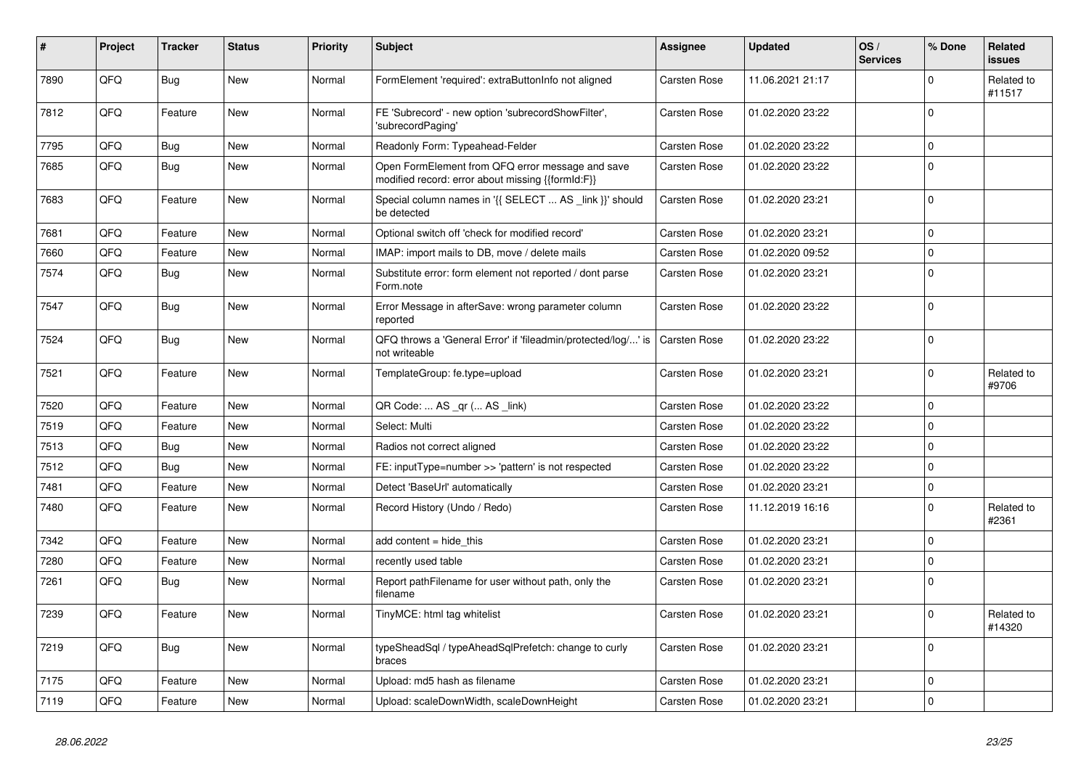| ∦    | Project | Tracker | <b>Status</b> | <b>Priority</b> | <b>Subject</b>                                                                                        | Assignee            | <b>Updated</b>   | OS/<br><b>Services</b> | % Done      | Related<br>issues    |
|------|---------|---------|---------------|-----------------|-------------------------------------------------------------------------------------------------------|---------------------|------------------|------------------------|-------------|----------------------|
| 7890 | QFQ     | Bug     | <b>New</b>    | Normal          | FormElement 'required': extraButtonInfo not aligned                                                   | Carsten Rose        | 11.06.2021 21:17 |                        | $\Omega$    | Related to<br>#11517 |
| 7812 | QFQ     | Feature | <b>New</b>    | Normal          | FE 'Subrecord' - new option 'subrecordShowFilter',<br>'subrecordPaging'                               | Carsten Rose        | 01.02.2020 23:22 |                        | $\mathbf 0$ |                      |
| 7795 | QFQ     | Bug     | <b>New</b>    | Normal          | Readonly Form: Typeahead-Felder                                                                       | Carsten Rose        | 01.02.2020 23:22 |                        | $\Omega$    |                      |
| 7685 | QFQ     | Bug     | <b>New</b>    | Normal          | Open FormElement from QFQ error message and save<br>modified record: error about missing {{formId:F}} | Carsten Rose        | 01.02.2020 23:22 |                        | $\Omega$    |                      |
| 7683 | QFQ     | Feature | <b>New</b>    | Normal          | Special column names in '{{ SELECT  AS _link }}' should<br>be detected                                | Carsten Rose        | 01.02.2020 23:21 |                        | $\Omega$    |                      |
| 7681 | QFQ     | Feature | <b>New</b>    | Normal          | Optional switch off 'check for modified record'                                                       | Carsten Rose        | 01.02.2020 23:21 |                        | $\Omega$    |                      |
| 7660 | QFQ     | Feature | <b>New</b>    | Normal          | IMAP: import mails to DB, move / delete mails                                                         | Carsten Rose        | 01.02.2020 09:52 |                        | $\Omega$    |                      |
| 7574 | QFQ     | Bug     | <b>New</b>    | Normal          | Substitute error: form element not reported / dont parse<br>Form.note                                 | Carsten Rose        | 01.02.2020 23:21 |                        | $\Omega$    |                      |
| 7547 | QFQ     | Bug     | <b>New</b>    | Normal          | Error Message in afterSave: wrong parameter column<br>reported                                        | Carsten Rose        | 01.02.2020 23:22 |                        | $\Omega$    |                      |
| 7524 | QFQ     | Bug     | New           | Normal          | QFQ throws a 'General Error' if 'fileadmin/protected/log/' is<br>not writeable                        | <b>Carsten Rose</b> | 01.02.2020 23:22 |                        | $\Omega$    |                      |
| 7521 | QFQ     | Feature | <b>New</b>    | Normal          | TemplateGroup: fe.type=upload                                                                         | <b>Carsten Rose</b> | 01.02.2020 23:21 |                        | $\Omega$    | Related to<br>#9706  |
| 7520 | QFQ     | Feature | <b>New</b>    | Normal          | QR Code:  AS _qr ( AS _link)                                                                          | Carsten Rose        | 01.02.2020 23:22 |                        | $\Omega$    |                      |
| 7519 | QFQ     | Feature | <b>New</b>    | Normal          | Select: Multi                                                                                         | Carsten Rose        | 01.02.2020 23:22 |                        | $\Omega$    |                      |
| 7513 | QFQ     | Bug     | <b>New</b>    | Normal          | Radios not correct aligned                                                                            | Carsten Rose        | 01.02.2020 23:22 |                        | $\Omega$    |                      |
| 7512 | QFQ     | Bug     | <b>New</b>    | Normal          | FE: inputType=number >> 'pattern' is not respected                                                    | Carsten Rose        | 01.02.2020 23:22 |                        | $\Omega$    |                      |
| 7481 | QFQ     | Feature | <b>New</b>    | Normal          | Detect 'BaseUrl' automatically                                                                        | Carsten Rose        | 01.02.2020 23:21 |                        | $\Omega$    |                      |
| 7480 | QFQ     | Feature | <b>New</b>    | Normal          | Record History (Undo / Redo)                                                                          | Carsten Rose        | 11.12.2019 16:16 |                        | $\Omega$    | Related to<br>#2361  |
| 7342 | QFQ     | Feature | <b>New</b>    | Normal          | add content $=$ hide this                                                                             | Carsten Rose        | 01.02.2020 23:21 |                        | $\mathbf 0$ |                      |
| 7280 | QFQ     | Feature | New           | Normal          | recently used table                                                                                   | Carsten Rose        | 01.02.2020 23:21 |                        | $\Omega$    |                      |
| 7261 | QFQ     | Bug     | <b>New</b>    | Normal          | Report pathFilename for user without path, only the<br>filename                                       | Carsten Rose        | 01.02.2020 23:21 |                        | $\Omega$    |                      |
| 7239 | QFQ     | Feature | <b>New</b>    | Normal          | TinyMCE: html tag whitelist                                                                           | Carsten Rose        | 01.02.2020 23:21 |                        | $\Omega$    | Related to<br>#14320 |
| 7219 | QFQ     | Bug     | <b>New</b>    | Normal          | typeSheadSql / typeAheadSqlPrefetch: change to curly<br>braces                                        | Carsten Rose        | 01.02.2020 23:21 |                        | $\Omega$    |                      |
| 7175 | QFQ     | Feature | <b>New</b>    | Normal          | Upload: md5 hash as filename                                                                          | <b>Carsten Rose</b> | 01.02.2020 23:21 |                        | 0           |                      |
| 7119 | QFQ     | Feature | <b>New</b>    | Normal          | Upload: scaleDownWidth, scaleDownHeight                                                               | <b>Carsten Rose</b> | 01.02.2020 23:21 |                        | $\Omega$    |                      |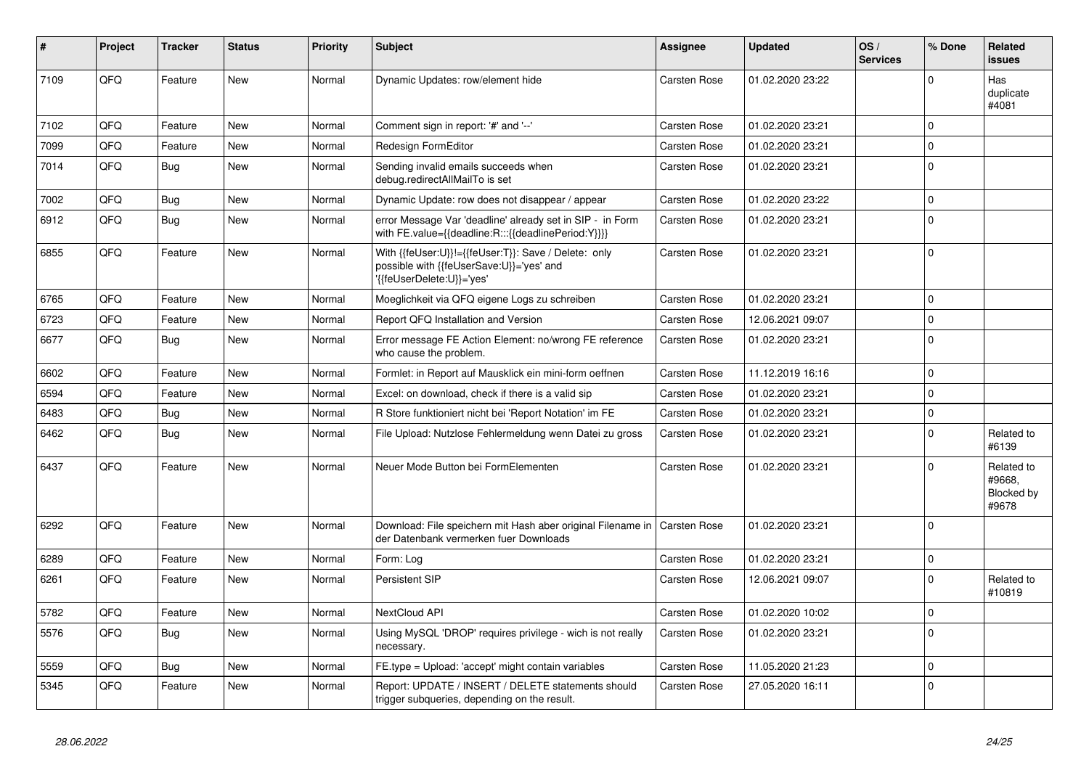| #    | Project | <b>Tracker</b> | <b>Status</b> | <b>Priority</b> | <b>Subject</b>                                                                                                               | Assignee            | Updated          | OS/<br><b>Services</b> | % Done      | <b>Related</b><br><b>issues</b>             |
|------|---------|----------------|---------------|-----------------|------------------------------------------------------------------------------------------------------------------------------|---------------------|------------------|------------------------|-------------|---------------------------------------------|
| 7109 | QFQ     | Feature        | <b>New</b>    | Normal          | Dynamic Updates: row/element hide                                                                                            | <b>Carsten Rose</b> | 01.02.2020 23:22 |                        | $\Omega$    | Has<br>duplicate<br>#4081                   |
| 7102 | QFQ     | Feature        | <b>New</b>    | Normal          | Comment sign in report: '#' and '--'                                                                                         | <b>Carsten Rose</b> | 01.02.2020 23:21 |                        | $\Omega$    |                                             |
| 7099 | QFQ     | Feature        | <b>New</b>    | Normal          | Redesign FormEditor                                                                                                          | <b>Carsten Rose</b> | 01.02.2020 23:21 |                        | $\Omega$    |                                             |
| 7014 | QFQ     | Bug            | New           | Normal          | Sending invalid emails succeeds when<br>debug.redirectAllMailTo is set                                                       | <b>Carsten Rose</b> | 01.02.2020 23:21 |                        | $\Omega$    |                                             |
| 7002 | QFQ     | Bug            | <b>New</b>    | Normal          | Dynamic Update: row does not disappear / appear                                                                              | Carsten Rose        | 01.02.2020 23:22 |                        | $\Omega$    |                                             |
| 6912 | QFQ     | Bug            | <b>New</b>    | Normal          | error Message Var 'deadline' already set in SIP - in Form<br>with FE.value={{deadline:R:::{{deadlinePeriod:Y}}}}             | <b>Carsten Rose</b> | 01.02.2020 23:21 |                        | $\Omega$    |                                             |
| 6855 | QFQ     | Feature        | <b>New</b>    | Normal          | With {{feUser:U}}!={{feUser:T}}: Save / Delete: only<br>possible with {{feUserSave:U}}='yes' and<br>{{feUserDelete:U}}='yes' | <b>Carsten Rose</b> | 01.02.2020 23:21 |                        | $\Omega$    |                                             |
| 6765 | QFQ     | Feature        | <b>New</b>    | Normal          | Moeglichkeit via QFQ eigene Logs zu schreiben                                                                                | Carsten Rose        | 01.02.2020 23:21 |                        | $\Omega$    |                                             |
| 6723 | QFQ     | Feature        | <b>New</b>    | Normal          | Report QFQ Installation and Version                                                                                          | <b>Carsten Rose</b> | 12.06.2021 09:07 |                        | $\Omega$    |                                             |
| 6677 | QFQ     | <b>Bug</b>     | <b>New</b>    | Normal          | Error message FE Action Element: no/wrong FE reference<br>who cause the problem.                                             | Carsten Rose        | 01.02.2020 23:21 |                        | $\Omega$    |                                             |
| 6602 | QFQ     | Feature        | <b>New</b>    | Normal          | Formlet: in Report auf Mausklick ein mini-form oeffnen                                                                       | Carsten Rose        | 11.12.2019 16:16 |                        | $\Omega$    |                                             |
| 6594 | QFQ     | Feature        | <b>New</b>    | Normal          | Excel: on download, check if there is a valid sip                                                                            | Carsten Rose        | 01.02.2020 23:21 |                        | $\Omega$    |                                             |
| 6483 | QFQ     | Bug            | <b>New</b>    | Normal          | R Store funktioniert nicht bei 'Report Notation' im FE                                                                       | <b>Carsten Rose</b> | 01.02.2020 23:21 |                        | $\Omega$    |                                             |
| 6462 | QFQ     | Bug            | <b>New</b>    | Normal          | File Upload: Nutzlose Fehlermeldung wenn Datei zu gross                                                                      | <b>Carsten Rose</b> | 01.02.2020 23:21 |                        | 0           | Related to<br>#6139                         |
| 6437 | QFQ     | Feature        | <b>New</b>    | Normal          | Neuer Mode Button bei FormElementen                                                                                          | <b>Carsten Rose</b> | 01.02.2020 23:21 |                        | $\Omega$    | Related to<br>#9668.<br>Blocked by<br>#9678 |
| 6292 | QFQ     | Feature        | <b>New</b>    | Normal          | Download: File speichern mit Hash aber original Filename in<br>der Datenbank vermerken fuer Downloads                        | Carsten Rose        | 01.02.2020 23:21 |                        | $\Omega$    |                                             |
| 6289 | QFQ     | Feature        | <b>New</b>    | Normal          | Form: Log                                                                                                                    | <b>Carsten Rose</b> | 01.02.2020 23:21 |                        | $\mathbf 0$ |                                             |
| 6261 | QFQ     | Feature        | <b>New</b>    | Normal          | Persistent SIP                                                                                                               | <b>Carsten Rose</b> | 12.06.2021 09:07 |                        | $\Omega$    | Related to<br>#10819                        |
| 5782 | QFQ     | Feature        | <b>New</b>    | Normal          | NextCloud API                                                                                                                | Carsten Rose        | 01.02.2020 10:02 |                        | $\Omega$    |                                             |
| 5576 | QFQ     | Bug            | <b>New</b>    | Normal          | Using MySQL 'DROP' requires privilege - wich is not really<br>necessary.                                                     | <b>Carsten Rose</b> | 01.02.2020 23:21 |                        | $\Omega$    |                                             |
| 5559 | QFQ     | Bug            | <b>New</b>    | Normal          | FE.type = Upload: 'accept' might contain variables                                                                           | <b>Carsten Rose</b> | 11.05.2020 21:23 |                        | $\Omega$    |                                             |
| 5345 | QFQ     | Feature        | <b>New</b>    | Normal          | Report: UPDATE / INSERT / DELETE statements should<br>trigger subqueries, depending on the result.                           | <b>Carsten Rose</b> | 27.05.2020 16:11 |                        | $\Omega$    |                                             |